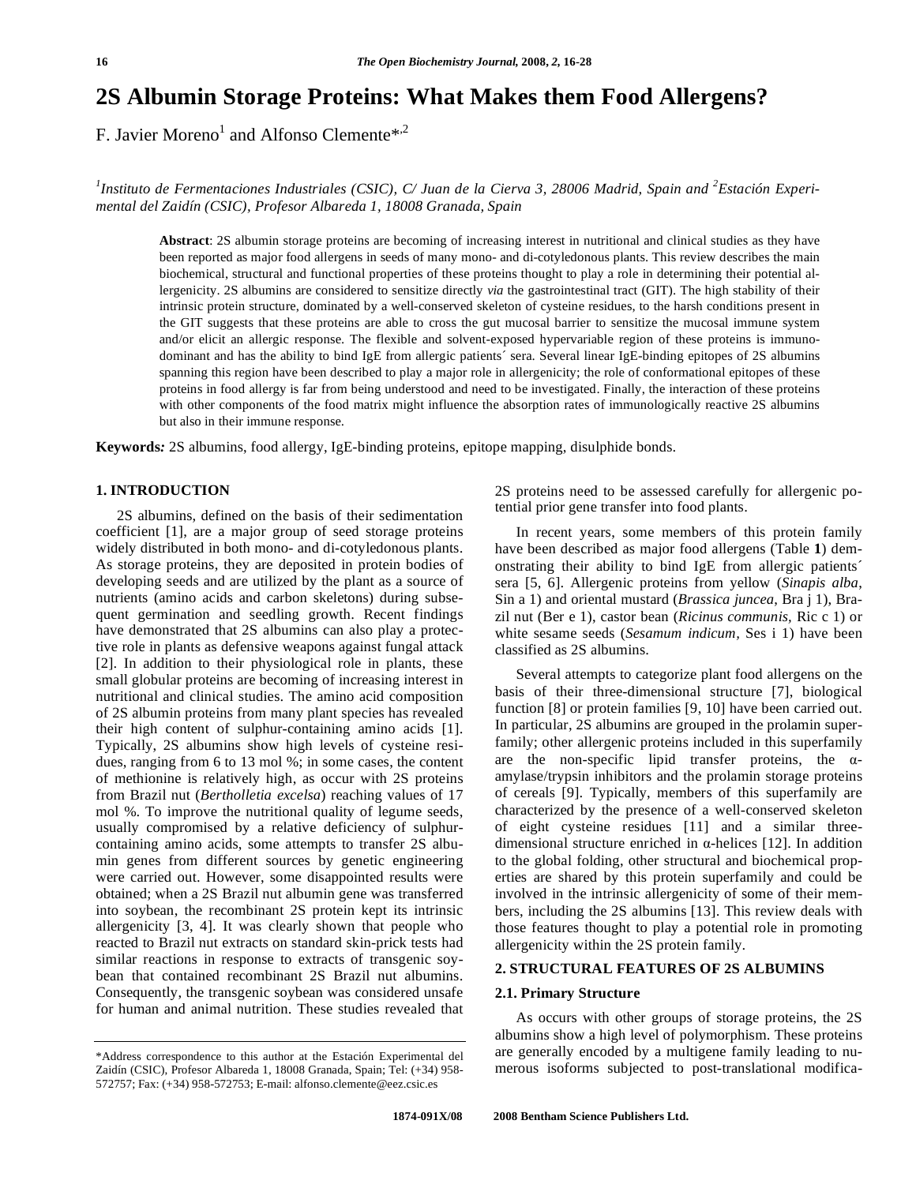# **2S Albumin Storage Proteins: What Makes them Food Allergens?**

F. Javier Moreno<sup>1</sup> and Alfonso Clemente\*<sup>2</sup>

<sup>1</sup>Instituto de Fermentaciones Industriales (CSIC), C/ Juan de la Cierva 3, 28006 Madrid, Spain and <sup>2</sup>Estación Experi*mental del Zaidín (CSIC), Profesor Albareda 1, 18008 Granada, Spain* 

**Abstract**: 2S albumin storage proteins are becoming of increasing interest in nutritional and clinical studies as they have been reported as major food allergens in seeds of many mono- and di-cotyledonous plants. This review describes the main biochemical, structural and functional properties of these proteins thought to play a role in determining their potential allergenicity. 2S albumins are considered to sensitize directly *via* the gastrointestinal tract (GIT). The high stability of their intrinsic protein structure, dominated by a well-conserved skeleton of cysteine residues, to the harsh conditions present in the GIT suggests that these proteins are able to cross the gut mucosal barrier to sensitize the mucosal immune system and/or elicit an allergic response. The flexible and solvent-exposed hypervariable region of these proteins is immunodominant and has the ability to bind IgE from allergic patients´ sera. Several linear IgE-binding epitopes of 2S albumins spanning this region have been described to play a major role in allergenicity; the role of conformational epitopes of these proteins in food allergy is far from being understood and need to be investigated. Finally, the interaction of these proteins with other components of the food matrix might influence the absorption rates of immunologically reactive 2S albumins but also in their immune response.

**Keywords***:* 2S albumins, food allergy, IgE-binding proteins, epitope mapping, disulphide bonds.

#### **1. INTRODUCTION**

 2S albumins, defined on the basis of their sedimentation coefficient [1], are a major group of seed storage proteins widely distributed in both mono- and di-cotyledonous plants. As storage proteins, they are deposited in protein bodies of developing seeds and are utilized by the plant as a source of nutrients (amino acids and carbon skeletons) during subsequent germination and seedling growth. Recent findings have demonstrated that 2S albumins can also play a protective role in plants as defensive weapons against fungal attack [2]. In addition to their physiological role in plants, these small globular proteins are becoming of increasing interest in nutritional and clinical studies. The amino acid composition of 2S albumin proteins from many plant species has revealed their high content of sulphur-containing amino acids [1]. Typically, 2S albumins show high levels of cysteine residues, ranging from 6 to 13 mol %; in some cases, the content of methionine is relatively high, as occur with 2S proteins from Brazil nut (*Bertholletia excelsa*) reaching values of 17 mol %. To improve the nutritional quality of legume seeds, usually compromised by a relative deficiency of sulphurcontaining amino acids, some attempts to transfer 2S albumin genes from different sources by genetic engineering were carried out. However, some disappointed results were obtained; when a 2S Brazil nut albumin gene was transferred into soybean, the recombinant 2S protein kept its intrinsic allergenicity [3, 4]. It was clearly shown that people who reacted to Brazil nut extracts on standard skin-prick tests had similar reactions in response to extracts of transgenic soybean that contained recombinant 2S Brazil nut albumins. Consequently, the transgenic soybean was considered unsafe for human and animal nutrition. These studies revealed that

2S proteins need to be assessed carefully for allergenic potential prior gene transfer into food plants.

 In recent years, some members of this protein family have been described as major food allergens (Table **1**) demonstrating their ability to bind IgE from allergic patients´ sera [5, 6]. Allergenic proteins from yellow (*Sinapis alba*, Sin a 1) and oriental mustard (*Brassica juncea*, Bra j 1), Brazil nut (Ber e 1), castor bean (*Ricinus communis,* Ric c 1) or white sesame seeds (*Sesamum indicum,* Ses i 1) have been classified as 2S albumins.

 Several attempts to categorize plant food allergens on the basis of their three-dimensional structure [7], biological function [8] or protein families [9, 10] have been carried out. In particular, 2S albumins are grouped in the prolamin superfamily; other allergenic proteins included in this superfamily are the non-specific lipid transfer proteins, the  $\alpha$ amylase/trypsin inhibitors and the prolamin storage proteins of cereals [9]. Typically, members of this superfamily are characterized by the presence of a well-conserved skeleton of eight cysteine residues [11] and a similar threedimensional structure enriched in  $\alpha$ -helices [12]. In addition to the global folding, other structural and biochemical properties are shared by this protein superfamily and could be involved in the intrinsic allergenicity of some of their members, including the 2S albumins [13]. This review deals with those features thought to play a potential role in promoting allergenicity within the 2S protein family.

### **2. STRUCTURAL FEATURES OF 2S ALBUMINS**

#### **2.1. Primary Structure**

 As occurs with other groups of storage proteins, the 2S albumins show a high level of polymorphism. These proteins are generally encoded by a multigene family leading to numerous isoforms subjected to post-translational modifica-

<sup>\*</sup>Address correspondence to this author at the Estación Experimental del Zaidín (CSIC), Profesor Albareda 1, 18008 Granada, Spain; Tel: (+34) 958- 572757; Fax: (+34) 958-572753; E-mail: alfonso.clemente@eez.csic.es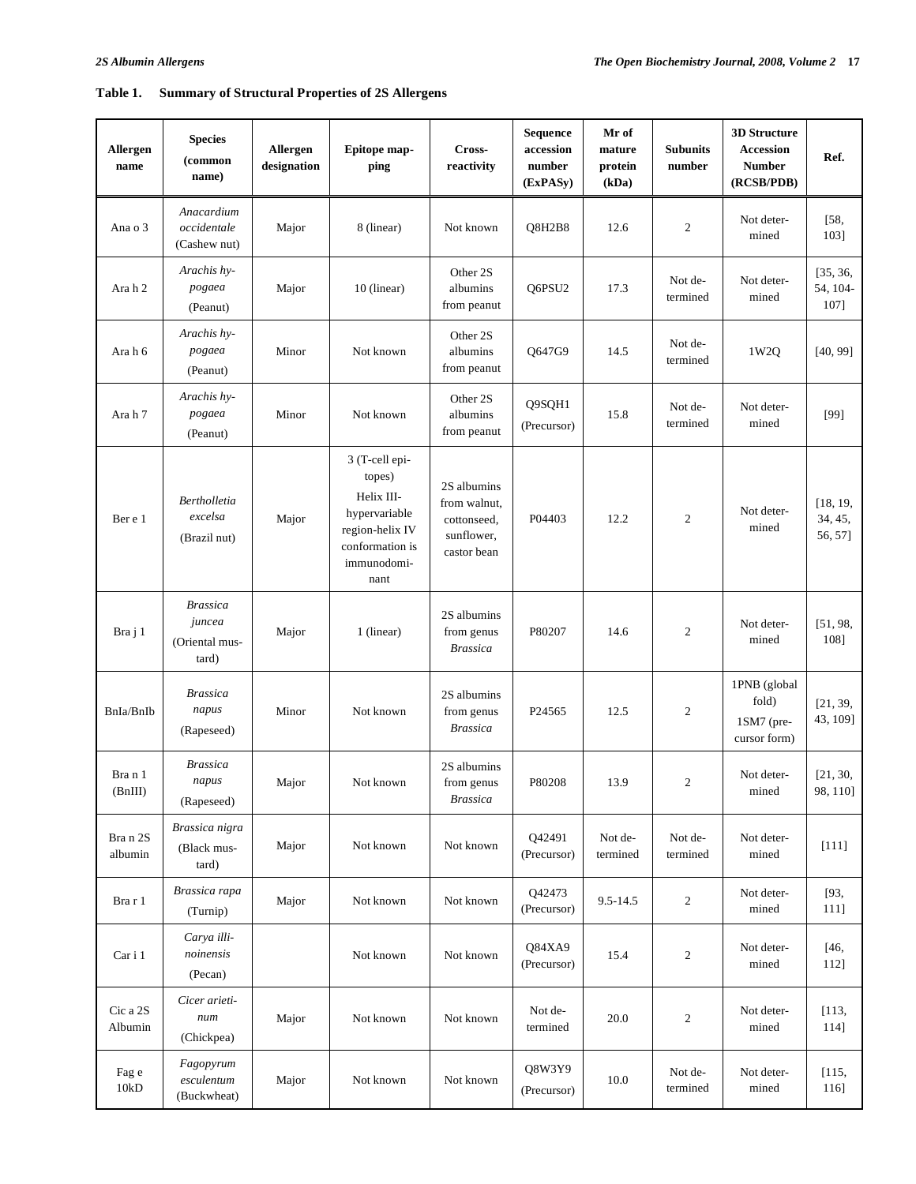## **Table 1. Summary of Structural Properties of 2S Allergens**

| Allergen<br>name    | <b>Species</b><br>(common<br>name)                   | Allergen<br>designation | Epitope map-<br>ping                                                                                                 | Cross-<br>reactivity                                                    | Sequence<br>accession<br>number<br>(ExPASy) | Mr of<br><b>Subunits</b><br>mature<br>protein<br>number<br>(kDa) |                                                                       | <b>3D Structure</b><br>Accession<br><b>Number</b><br>(RCSB/PDB) | Ref.                           |
|---------------------|------------------------------------------------------|-------------------------|----------------------------------------------------------------------------------------------------------------------|-------------------------------------------------------------------------|---------------------------------------------|------------------------------------------------------------------|-----------------------------------------------------------------------|-----------------------------------------------------------------|--------------------------------|
| Ana o 3             | Anacardium<br>occidentale<br>(Cashew nut)            | Major                   | 8 (linear)                                                                                                           | Not known                                                               | Q8H2B8                                      | 12.6                                                             | $\boldsymbol{2}$                                                      | Not deter-<br>mined                                             | [58,<br>1031                   |
| Ara h 2             | Arachis hy-<br>pogaea<br>(Peanut)                    | Major                   | 10 (linear)                                                                                                          | Other 2S<br>albumins<br>from peanut                                     | Q6PSU2                                      | 17.3                                                             | Not de-<br>termined                                                   | Not deter-<br>mined                                             | [35, 36,<br>54, 104-<br>107]   |
| Ara h 6             | Arachis hy-<br>pogaea<br>(Peanut)                    | Minor                   | Not known                                                                                                            | Other 2S<br>albumins<br>from peanut                                     | Q647G9                                      | 14.5                                                             | Not de-<br>termined                                                   | 1W2Q                                                            | [40, 99]                       |
| Ara h 7             | Arachis hy-<br>pogaea<br>(Peanut)                    | Minor                   | Not known                                                                                                            | Other 2S<br>albumins<br>from peanut                                     | Q9SQH1<br>(Precursor)                       | 15.8                                                             | Not de-<br>termined                                                   | Not deter-<br>mined                                             | $[99]$                         |
| Ber e 1             | <b>Bertholletia</b><br>excelsa<br>(Brazil nut)       | Major                   | 3 (T-cell epi-<br>topes)<br>Helix III-<br>hypervariable<br>region-helix IV<br>conformation is<br>immunodomi-<br>nant | 2S albumins<br>from walnut,<br>cottonseed,<br>sunflower,<br>castor bean | P04403                                      | 12.2                                                             | $\overline{2}$                                                        | Not deter-<br>mined                                             | [18, 19,<br>34, 45,<br>56, 57] |
| Bra j 1             | <b>Brassica</b><br>juncea<br>(Oriental mus-<br>tard) | Major                   | 1 (linear)                                                                                                           | 2S albumins<br>from genus<br><b>Brassica</b>                            | P80207                                      | 14.6                                                             | $\sqrt{2}$                                                            | Not deter-<br>[51, 98,<br>mined                                 |                                |
| BnIa/BnIb           | <b>Brassica</b><br>napus<br>(Rapeseed)               | Minor                   | Not known                                                                                                            | 2S albumins<br>from genus<br><b>Brassica</b>                            | P24565                                      | 12.5                                                             | 1PNB (global<br>fold)<br>$\overline{2}$<br>1SM7 (pre-<br>cursor form) |                                                                 | [21, 39,<br>43, 109]           |
| Bra n 1<br>(BnIII)  | <b>Brassica</b><br>napus<br>(Rapeseed)               | Major                   | Not known                                                                                                            | 2S albumins<br>from genus<br><b>Brassica</b>                            | P80208                                      | 13.9                                                             | $\overline{\mathbf{c}}$                                               | Not deter-<br>mined                                             |                                |
| Bra n 2S<br>albumin | Brassica nigra<br>(Black mus-<br>tard)               | Major                   | Not known                                                                                                            | Not known                                                               | Q42491<br>(Precursor)                       | Not de-<br>termined                                              | Not de-<br>termined                                                   | Not deter-<br>mined                                             |                                |
| Bra r 1             | Brassica rapa<br>(Turnip)                            | Major                   | Not known                                                                                                            | Not known                                                               | Q42473<br>(Precursor)                       | 9.5-14.5                                                         | $\overline{c}$                                                        | Not deter-<br>mined                                             | [93,<br>111]                   |
| Car i 1             | Carya illi-<br>noinensis<br>(Pecan)                  |                         | Not known                                                                                                            | Not known                                                               | Q84XA9<br>(Precursor)                       | 15.4                                                             | $\boldsymbol{2}$                                                      | Not deter-<br>mined                                             | [46,<br>112]                   |
| Cic a 2S<br>Albumin | Cicer arieti-<br>num<br>(Chickpea)                   | Major                   | Not known                                                                                                            | Not known                                                               | Not de-<br>termined                         | 20.0                                                             | $\boldsymbol{2}$                                                      | Not deter-<br>mined                                             | [113,<br>114]                  |
| Fag e<br>$10kD$     | Fagopyrum<br>esculentum<br>(Buckwheat)               | Major                   | Not known                                                                                                            | Not known                                                               | Q8W3Y9<br>(Precursor)                       | $10.0\,$                                                         | Not de-<br>termined                                                   | Not deter-<br>mined                                             | [115,<br>116]                  |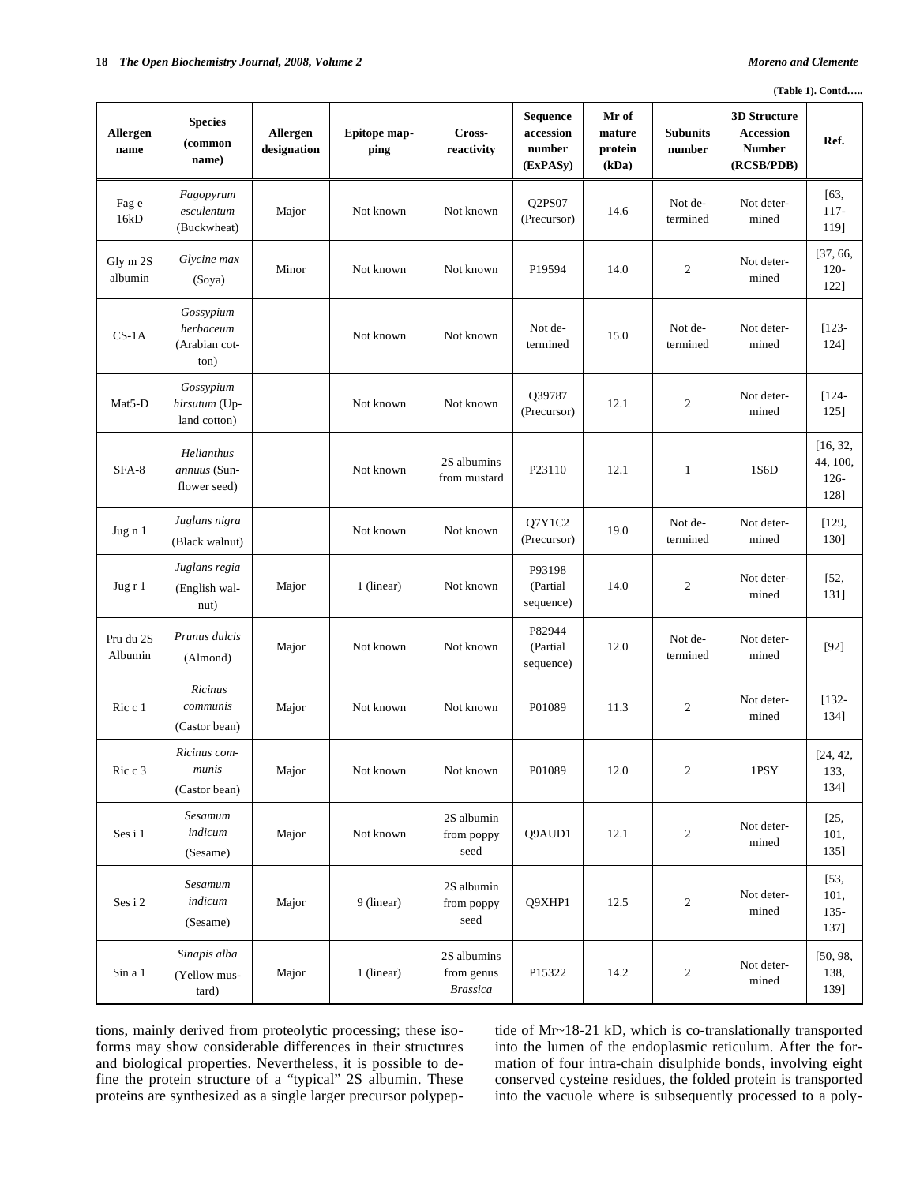|                      | (Table 1). Contd                                |                         |                      |                                              |                                             |                                     |                           |                                                                        |                                         |  |
|----------------------|-------------------------------------------------|-------------------------|----------------------|----------------------------------------------|---------------------------------------------|-------------------------------------|---------------------------|------------------------------------------------------------------------|-----------------------------------------|--|
| Allergen<br>name     | <b>Species</b><br>(common<br>name)              | Allergen<br>designation | Epitope map-<br>ping | Cross-<br>reactivity                         | Sequence<br>accession<br>number<br>(ExPASy) | Mr of<br>mature<br>protein<br>(kDa) | <b>Subunits</b><br>number | <b>3D Structure</b><br><b>Accession</b><br><b>Number</b><br>(RCSB/PDB) | Ref.                                    |  |
| Fag e<br>16kD        | Fagopyrum<br>esculentum<br>(Buckwheat)          | Major                   | Not known            | Not known                                    | Q2PS07<br>(Precursor)                       | 14.6                                | Not de-<br>termined       | Not deter-<br>mined                                                    | [63,<br>$117-$<br>119]                  |  |
| Gly m 2S<br>albumin  | Glycine max<br>(Soya)                           | Minor                   | Not known            | Not known                                    | P19594                                      | 14.0                                | $\boldsymbol{2}$          | Not deter-<br>mined                                                    | [37, 66,<br>$120 -$<br>122]             |  |
| $CS-1A$              | Gossypium<br>herbaceum<br>(Arabian cot-<br>ton) |                         | Not known            | Not known                                    | Not de-<br>termined                         | 15.0                                | Not de-<br>termined       | Not deter-<br>mined                                                    | $[123 -$<br>124]                        |  |
| Mat <sub>5</sub> -D  | Gossypium<br>hirsutum (Up-<br>land cotton)      |                         | Not known            | Not known                                    | Q39787<br>(Precursor)                       | 12.1                                | $\boldsymbol{2}$          | Not deter-<br>mined                                                    | $[124 -$<br>125]                        |  |
| SFA-8                | Helianthus<br>annuus (Sun-<br>flower seed)      |                         | Not known            | 2S albumins<br>from mustard                  | P23110                                      | 12.1                                | $\mathbf{1}$              | 1S6D                                                                   | [16, 32,<br>44, 100,<br>$126 -$<br>128] |  |
| Jug n 1              | Juglans nigra<br>(Black walnut)                 |                         | Not known            | Not known                                    | Q7Y1C2<br>(Precursor)                       | 19.0                                | Not de-<br>termined       | Not deter-<br>mined                                                    | [129,<br>130]                           |  |
| Jug $r1$             | Juglans regia<br>(English wal-<br>nut)          | Major                   | 1 (linear)           | Not known                                    | P93198<br>(Partial<br>sequence)             | 14.0                                | $\boldsymbol{2}$          | Not deter-<br>mined                                                    | $[52,$<br>131]                          |  |
| Pru du 2S<br>Albumin | Prunus dulcis<br>(Almond)                       | Major                   | Not known            | Not known                                    | P82944<br>(Partial<br>sequence)             | 12.0                                | Not de-<br>termined       | Not deter-<br>mined                                                    | $[92]$                                  |  |
| Ric c 1              | Ricinus<br>communis<br>(Castor bean)            | Major                   | Not known            | Not known                                    | P01089                                      | 11.3                                | $\boldsymbol{2}$          | Not deter-<br>mined                                                    | $[132 -$<br>134]                        |  |
| Ric c 3              | Ricinus com-<br>munis<br>(Castor bean)          | Major                   | Not known            | Not known                                    | P01089                                      | 12.0                                | $\mathbf{2}$              | 1PSY                                                                   | [24, 42,<br>133,<br>134]                |  |
| Ses i 1              | Sesamum<br>indicum<br>(Sesame)                  | Major                   | Not known            | 2S albumin<br>from poppy<br>seed             | Q9AUD1                                      | 12.1                                | $\overline{c}$            | Not deter-<br>mined                                                    | [25,<br>101,<br>135]                    |  |
| Ses i 2              | Sesamum<br>indicum<br>(Sesame)                  | Major                   | 9 (linear)           | 2S albumin<br>from poppy<br>seed             | Q9XHP1                                      | 12.5                                | $\overline{c}$            | Not deter-<br>mined                                                    | [53,<br>101,<br>$135 -$<br>137]         |  |
| Sin a 1              | Sinapis alba<br>(Yellow mus-<br>tard)           | Major                   | 1 (linear)           | 2S albumins<br>from genus<br><b>Brassica</b> | P15322                                      | 14.2                                | $\overline{c}$            | Not deter-<br>mined                                                    | [50, 98,<br>138,<br>139]                |  |

tions, mainly derived from proteolytic processing; these isoforms may show considerable differences in their structures and biological properties. Nevertheless, it is possible to define the protein structure of a "typical" 2S albumin. These proteins are synthesized as a single larger precursor polypeptide of Mr~18-21 kD, which is co-translationally transported into the lumen of the endoplasmic reticulum. After the formation of four intra-chain disulphide bonds, involving eight conserved cysteine residues, the folded protein is transported into the vacuole where is subsequently processed to a poly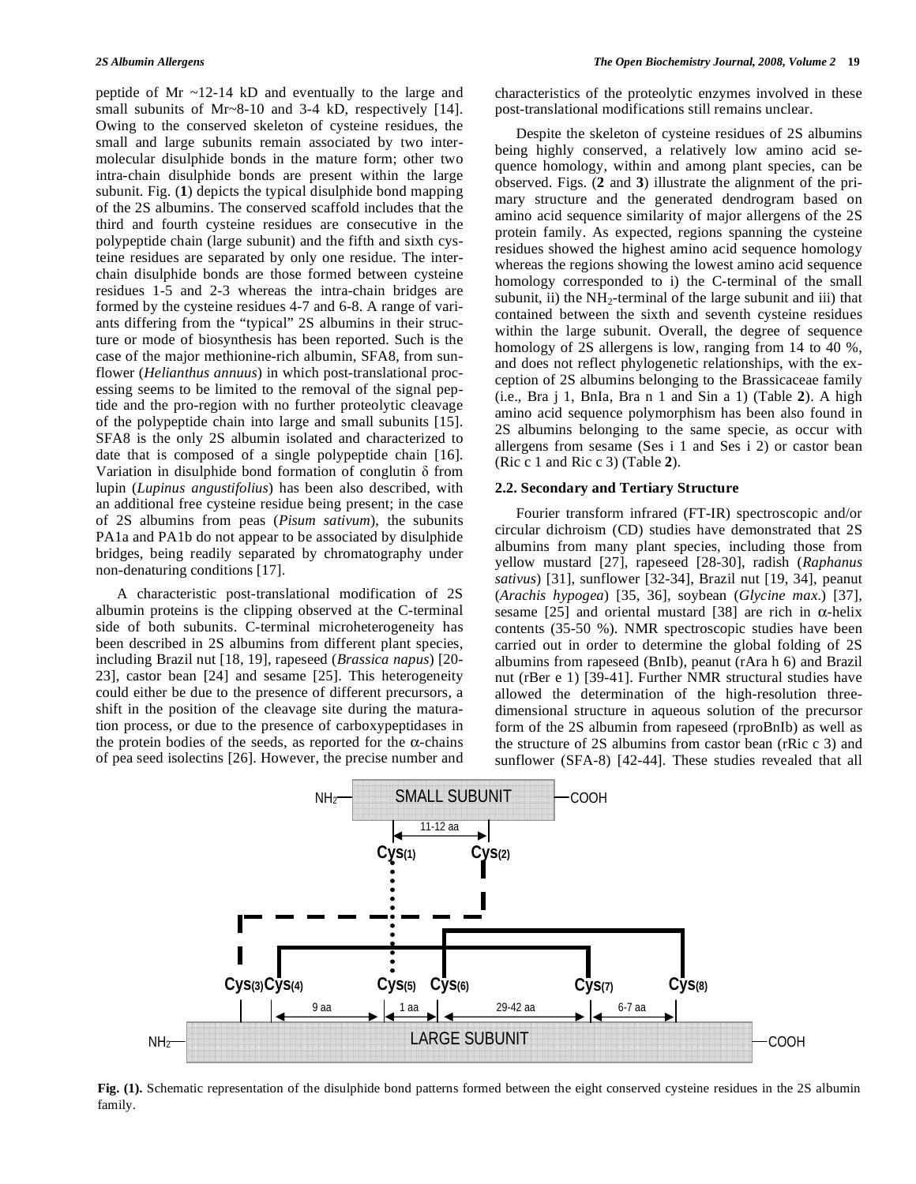peptide of Mr ~12-14 kD and eventually to the large and small subunits of Mr~8-10 and 3-4 kD, respectively [14]. Owing to the conserved skeleton of cysteine residues, the small and large subunits remain associated by two intermolecular disulphide bonds in the mature form; other two intra-chain disulphide bonds are present within the large subunit. Fig. (**1**) depicts the typical disulphide bond mapping of the 2S albumins. The conserved scaffold includes that the third and fourth cysteine residues are consecutive in the polypeptide chain (large subunit) and the fifth and sixth cysteine residues are separated by only one residue. The interchain disulphide bonds are those formed between cysteine residues 1-5 and 2-3 whereas the intra-chain bridges are formed by the cysteine residues 4-7 and 6-8. A range of variants differing from the "typical" 2S albumins in their structure or mode of biosynthesis has been reported. Such is the case of the major methionine-rich albumin, SFA8, from sunflower (*Helianthus annuus*) in which post-translational processing seems to be limited to the removal of the signal peptide and the pro-region with no further proteolytic cleavage of the polypeptide chain into large and small subunits [15]. SFA8 is the only 2S albumin isolated and characterized to date that is composed of a single polypeptide chain [16]. Variation in disulphide bond formation of conglutin  $\delta$  from lupin (*Lupinus angustifolius*) has been also described, with an additional free cysteine residue being present; in the case of 2S albumins from peas (*Pisum sativum*), the subunits PA1a and PA1b do not appear to be associated by disulphide bridges, being readily separated by chromatography under non-denaturing conditions [17].

 A characteristic post-translational modification of 2S albumin proteins is the clipping observed at the C-terminal side of both subunits. C-terminal microheterogeneity has been described in 2S albumins from different plant species, including Brazil nut [18, 19], rapeseed (*Brassica napus*) [20- 23], castor bean [24] and sesame [25]. This heterogeneity could either be due to the presence of different precursors, a shift in the position of the cleavage site during the maturation process, or due to the presence of carboxypeptidases in the protein bodies of the seeds, as reported for the  $\alpha$ -chains of pea seed isolectins [26]. However, the precise number and

characteristics of the proteolytic enzymes involved in these post-translational modifications still remains unclear.

 Despite the skeleton of cysteine residues of 2S albumins being highly conserved, a relatively low amino acid sequence homology, within and among plant species, can be observed. Figs. (**2** and **3**) illustrate the alignment of the primary structure and the generated dendrogram based on amino acid sequence similarity of major allergens of the 2S protein family. As expected, regions spanning the cysteine residues showed the highest amino acid sequence homology whereas the regions showing the lowest amino acid sequence homology corresponded to i) the C-terminal of the small subunit, ii) the  $NH_2$ -terminal of the large subunit and iii) that contained between the sixth and seventh cysteine residues within the large subunit. Overall, the degree of sequence homology of 2S allergens is low, ranging from 14 to 40 %, and does not reflect phylogenetic relationships, with the exception of 2S albumins belonging to the Brassicaceae family (i.e., Bra j 1, BnIa, Bra n 1 and Sin a 1) (Table **2**). A high amino acid sequence polymorphism has been also found in 2S albumins belonging to the same specie, as occur with allergens from sesame (Ses i 1 and Ses i 2) or castor bean (Ric c 1 and Ric c 3) (Table **2**).

#### **2.2. Secondary and Tertiary Structure**

 Fourier transform infrared (FT-IR) spectroscopic and/or circular dichroism (CD) studies have demonstrated that 2S albumins from many plant species, including those from yellow mustard [27], rapeseed [28-30], radish (*Raphanus sativus*) [31], sunflower [32-34], Brazil nut [19, 34], peanut (*Arachis hypogea*) [35, 36], soybean (*Glycine max*.) [37], sesame [25] and oriental mustard [38] are rich in  $\alpha$ -helix contents (35-50 %). NMR spectroscopic studies have been carried out in order to determine the global folding of 2S albumins from rapeseed (BnIb), peanut (rAra h 6) and Brazil nut (rBer e 1) [39-41]. Further NMR structural studies have allowed the determination of the high-resolution threedimensional structure in aqueous solution of the precursor form of the 2S albumin from rapeseed (rproBnIb) as well as the structure of 2S albumins from castor bean (rRic c 3) and sunflower (SFA-8) [42-44]. These studies revealed that all



**Fig. (1).** Schematic representation of the disulphide bond patterns formed between the eight conserved cysteine residues in the 2S albumin family.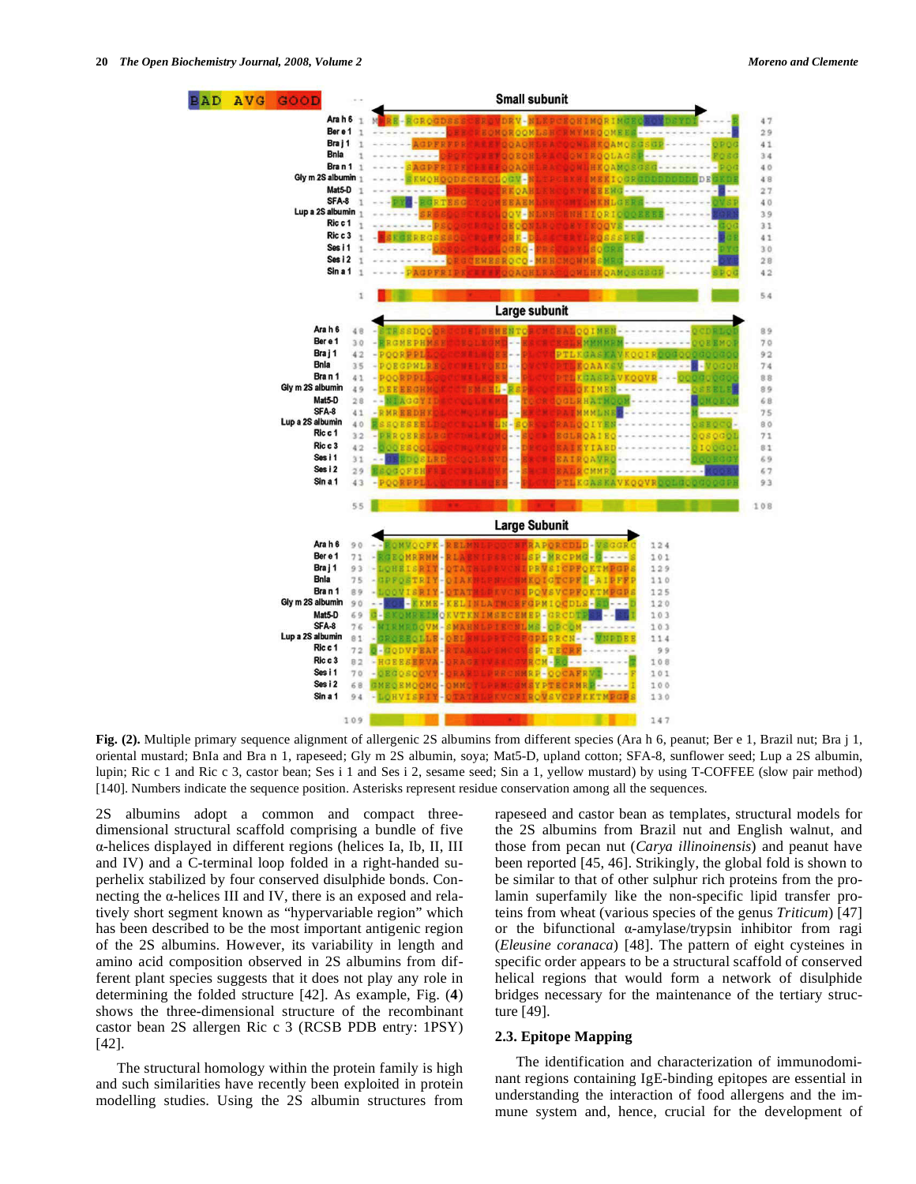

Fig. (2). Multiple primary sequence alignment of allergenic 2S albumins from different species (Ara h 6, peanut; Ber e 1, Brazil nut; Bra j 1, oriental mustard; BnIa and Bra n 1, rapeseed; Gly m 2S albumin, soya; Mat5-D, upland cotton; SFA-8, sunflower seed; Lup a 2S albumin, lupin; Ric c 1 and Ric c 3, castor bean; Ses i 1 and Ses i 2, sesame seed; Sin a 1, yellow mustard) by using T-COFFEE (slow pair method) [140]. Numbers indicate the sequence position. Asterisks represent residue conservation among all the sequences.

2S albumins adopt a common and compact threedimensional structural scaffold comprising a bundle of five -helices displayed in different regions (helices Ia, Ib, II, III and IV) and a C-terminal loop folded in a right-handed superhelix stabilized by four conserved disulphide bonds. Connecting the  $\alpha$ -helices III and IV, there is an exposed and relatively short segment known as "hypervariable region" which has been described to be the most important antigenic region of the 2S albumins. However, its variability in length and amino acid composition observed in 2S albumins from different plant species suggests that it does not play any role in determining the folded structure [42]. As example, Fig. (**4**) shows the three-dimensional structure of the recombinant castor bean 2S allergen Ric c 3 (RCSB PDB entry: 1PSY) [42].

 The structural homology within the protein family is high and such similarities have recently been exploited in protein modelling studies. Using the 2S albumin structures from rapeseed and castor bean as templates, structural models for the 2S albumins from Brazil nut and English walnut, and those from pecan nut (*Carya illinoinensis*) and peanut have been reported [45, 46]. Strikingly, the global fold is shown to be similar to that of other sulphur rich proteins from the prolamin superfamily like the non-specific lipid transfer proteins from wheat (various species of the genus *Triticum*) [47] or the bifunctional  $\alpha$ -amylase/trypsin inhibitor from ragi (*Eleusine coranaca*) [48]. The pattern of eight cysteines in specific order appears to be a structural scaffold of conserved helical regions that would form a network of disulphide bridges necessary for the maintenance of the tertiary structure [49].

## **2.3. Epitope Mapping**

 The identification and characterization of immunodominant regions containing IgE-binding epitopes are essential in understanding the interaction of food allergens and the immune system and, hence, crucial for the development of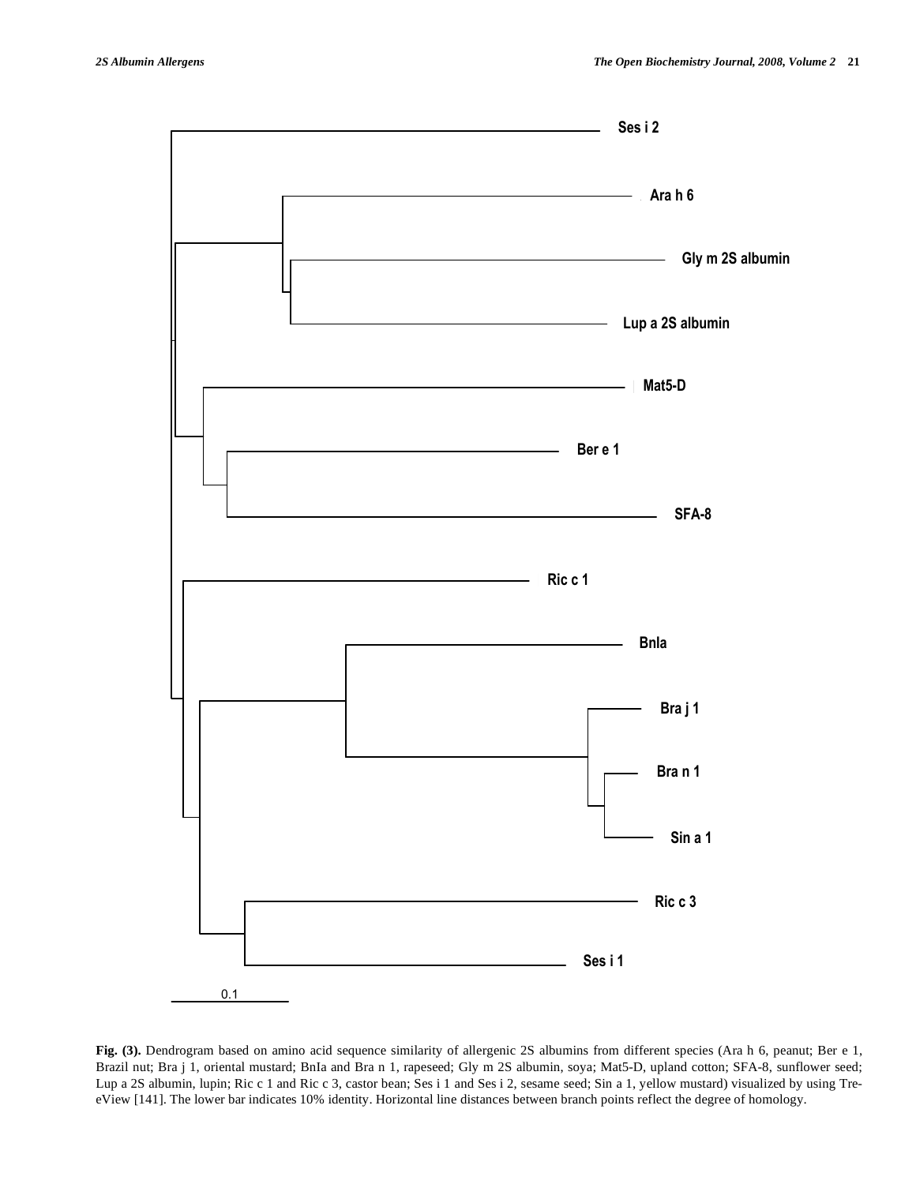

**Fig. (3).** Dendrogram based on amino acid sequence similarity of allergenic 2S albumins from different species (Ara h 6, peanut; Ber e 1, Brazil nut; Bra j 1, oriental mustard; BnIa and Bra n 1, rapeseed; Gly m 2S albumin, soya; Mat5-D, upland cotton; SFA-8, sunflower seed; Lup a 2S albumin, lupin; Ric c 1 and Ric c 3, castor bean; Ses i 1 and Ses i 2, sesame seed; Sin a 1, yellow mustard) visualized by using TreeView [141]. The lower bar indicates 10% identity. Horizontal line distances between branch points reflect the degree of homology.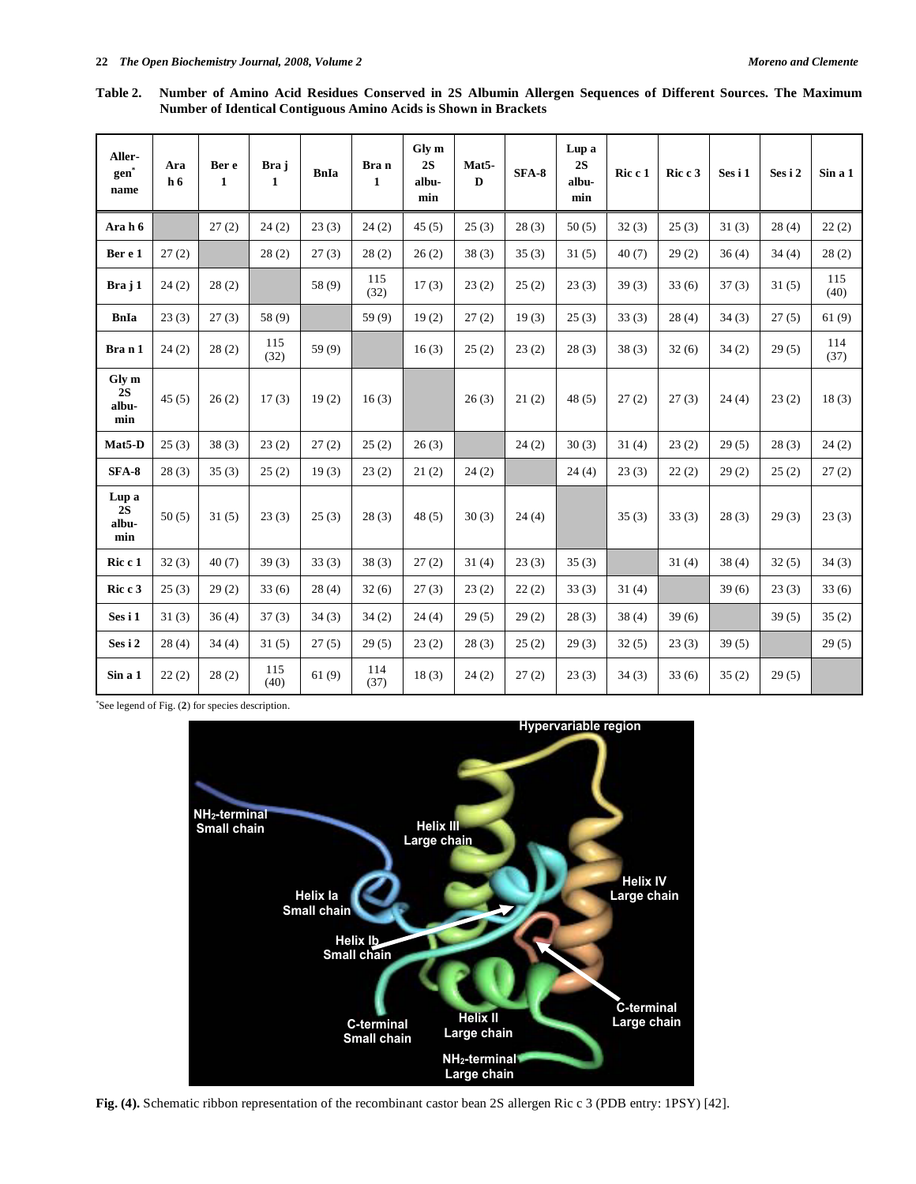**Table 2. Number of Amino Acid Residues Conserved in 2S Albumin Allergen Sequences of Different Sources. The Maximum Number of Identical Contiguous Amino Acids is Shown in Brackets** 

| Aller-<br>gen<br>name       | Ara<br>h <sub>6</sub> | Ber e<br>$\mathbf{1}$ | Bra j<br>$\mathbf{1}$ | <b>BnIa</b> | Bra n<br>$\mathbf{1}$ | Gly m<br>2S<br>albu-<br>min | Mat5-<br>D | SFA-8 | Lup a<br>2S<br>albu-<br>min | Ric c 1 | Ric c 3 | Ses i 1 | Ses i 2 | Sin a 1     |
|-----------------------------|-----------------------|-----------------------|-----------------------|-------------|-----------------------|-----------------------------|------------|-------|-----------------------------|---------|---------|---------|---------|-------------|
| Ara h 6                     |                       | 27(2)                 | 24(2)                 | 23(3)       | 24(2)                 | 45(5)                       | 25(3)      | 28(3) | 50(5)                       | 32(3)   | 25(3)   | 31(3)   | 28(4)   | 22(2)       |
| Ber e 1                     | 27(2)                 |                       | 28(2)                 | 27(3)       | 28(2)                 | 26(2)                       | 38(3)      | 35(3) | 31(5)                       | 40(7)   | 29(2)   | 36(4)   | 34(4)   | 28(2)       |
| Bra j 1                     | 24(2)                 | 28(2)                 |                       | 58 (9)      | 115<br>(32)           | 17(3)                       | 23(2)      | 25(2) | 23(3)                       | 39(3)   | 33(6)   | 37(3)   | 31(5)   | 115<br>(40) |
| BnIa                        | 23(3)                 | 27(3)                 | 58 (9)                |             | 59(9)                 | 19(2)                       | 27(2)      | 19(3) | 25(3)                       | 33(3)   | 28(4)   | 34(3)   | 27(5)   | 61(9)       |
| Bran1                       | 24(2)                 | 28(2)                 | 115<br>(32)           | 59(9)       |                       | 16(3)                       | 25(2)      | 23(2) | 28(3)                       | 38(3)   | 32(6)   | 34(2)   | 29(5)   | 114<br>(37) |
| Gly m<br>2S<br>albu-<br>min | 45(5)                 | 26(2)                 | 17(3)                 | 19(2)       | 16(3)                 |                             | 26(3)      | 21(2) | 48(5)                       | 27(2)   | 27(3)   | 24(4)   | 23(2)   | 18(3)       |
| Mat5-D                      | 25(3)                 | 38(3)                 | 23(2)                 | 27(2)       | 25(2)                 | 26(3)                       |            | 24(2) | 30(3)                       | 31(4)   | 23(2)   | 29(5)   | 28(3)   | 24(2)       |
| $SFA-8$                     | 28(3)                 | 35(3)                 | 25(2)                 | 19(3)       | 23(2)                 | 21(2)                       | 24(2)      |       | 24(4)                       | 23(3)   | 22(2)   | 29(2)   | 25(2)   | 27(2)       |
| Lup a<br>2S<br>albu-<br>min | 50(5)                 | 31(5)                 | 23(3)                 | 25(3)       | 28(3)                 | 48(5)                       | 30(3)      | 24(4) |                             | 35(3)   | 33(3)   | 28(3)   | 29(3)   | 23(3)       |
| Ric c 1                     | 32(3)                 | 40(7)                 | 39(3)                 | 33(3)       | 38(3)                 | 27(2)                       | 31(4)      | 23(3) | 35(3)                       |         | 31(4)   | 38(4)   | 32(5)   | 34(3)       |
| Ric c 3                     | 25(3)                 | 29(2)                 | 33(6)                 | 28(4)       | 32(6)                 | 27(3)                       | 23(2)      | 22(2) | 33(3)                       | 31(4)   |         | 39(6)   | 23(3)   | 33(6)       |
| Ses i 1                     | 31(3)                 | 36(4)                 | 37(3)                 | 34(3)       | 34(2)                 | 24(4)                       | 29(5)      | 29(2) | 28(3)                       | 38(4)   | 39(6)   |         | 39(5)   | 35(2)       |
| Ses i 2                     | 28(4)                 | 34(4)                 | 31(5)                 | 27(5)       | 29(5)                 | 23(2)                       | 28(3)      | 25(2) | 29(3)                       | 32(5)   | 23(3)   | 39(5)   |         | 29(5)       |
| Sin a 1                     | 22(2)                 | 28(2)                 | 115<br>(40)           | 61(9)       | 114<br>(37)           | 18(3)                       | 24(2)      | 27(2) | 23(3)                       | 34(3)   | 33(6)   | 35(2)   | 29(5)   |             |

\* See legend of Fig. (**2**) for species description.



**Fig. (4).** Schematic ribbon representation of the recombinant castor bean 2S allergen Ric c 3 (PDB entry: 1PSY) [42].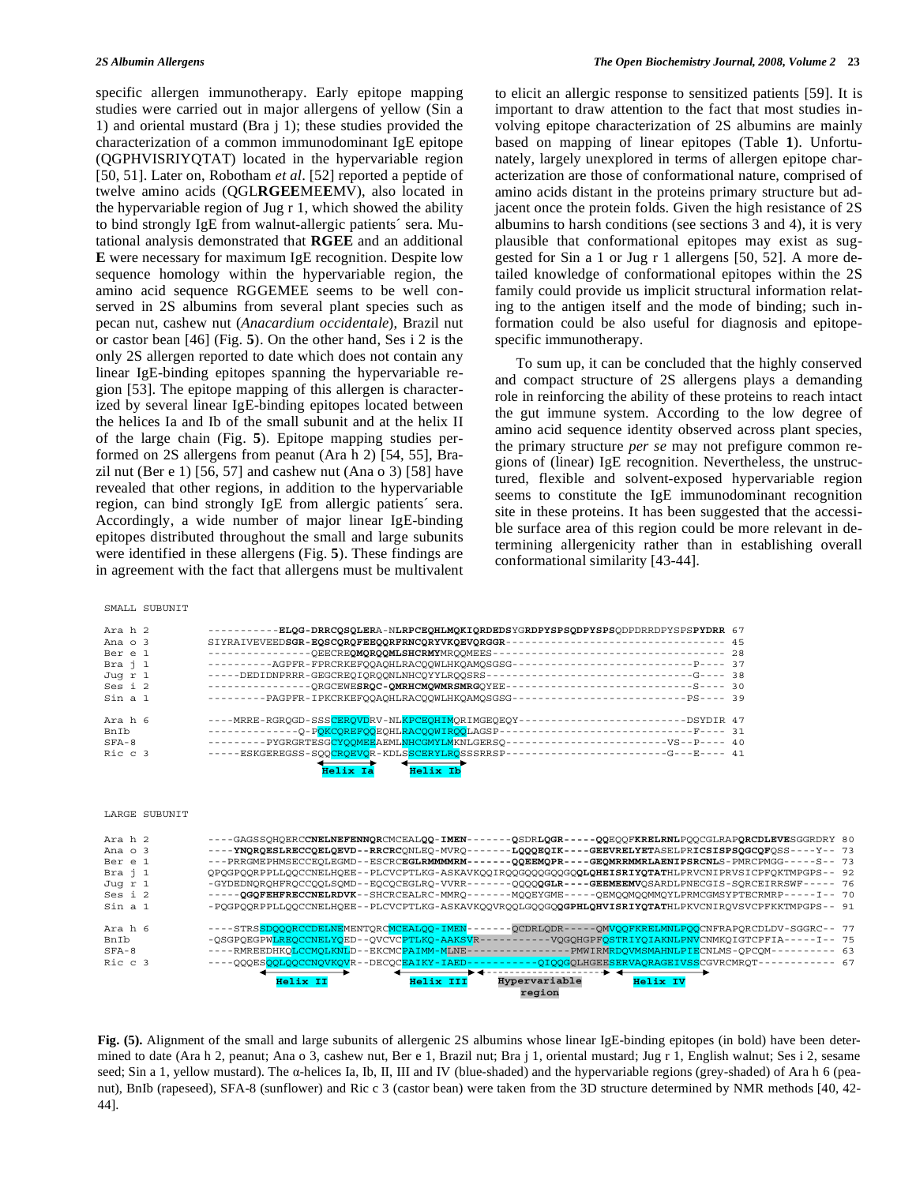specific allergen immunotherapy. Early epitope mapping studies were carried out in major allergens of yellow (Sin a 1) and oriental mustard (Bra j 1); these studies provided the characterization of a common immunodominant IgE epitope (QGPHVISRIYQTAT) located in the hypervariable region [50, 51]. Later on, Robotham *et al*. [52] reported a peptide of twelve amino acids (QGL**RGEE**ME**E**MV), also located in the hypervariable region of Jug r 1, which showed the ability to bind strongly IgE from walnut-allergic patients´ sera. Mutational analysis demonstrated that **RGEE** and an additional **E** were necessary for maximum IgE recognition. Despite low sequence homology within the hypervariable region, the amino acid sequence RGGEMEE seems to be well conserved in 2S albumins from several plant species such as pecan nut, cashew nut (*Anacardium occidentale*), Brazil nut or castor bean [46] (Fig. **5**). On the other hand, Ses i 2 is the only 2S allergen reported to date which does not contain any linear IgE-binding epitopes spanning the hypervariable region [53]. The epitope mapping of this allergen is characterized by several linear IgE-binding epitopes located between the helices Ia and Ib of the small subunit and at the helix II of the large chain (Fig. **5**). Epitope mapping studies performed on 2S allergens from peanut (Ara h 2) [54, 55], Brazil nut (Ber e 1) [56, 57] and cashew nut (Ana o 3) [58] have revealed that other regions, in addition to the hypervariable region, can bind strongly IgE from allergic patients´ sera. Accordingly, a wide number of major linear IgE-binding epitopes distributed throughout the small and large subunits were identified in these allergens (Fig. **5**). These findings are in agreement with the fact that allergens must be multivalent

to elicit an allergic response to sensitized patients [59]. It is important to draw attention to the fact that most studies involving epitope characterization of 2S albumins are mainly based on mapping of linear epitopes (Table **1**). Unfortunately, largely unexplored in terms of allergen epitope characterization are those of conformational nature, comprised of amino acids distant in the proteins primary structure but adjacent once the protein folds. Given the high resistance of 2S albumins to harsh conditions (see sections 3 and 4), it is very plausible that conformational epitopes may exist as suggested for Sin a 1 or Jug r 1 allergens [50, 52]. A more detailed knowledge of conformational epitopes within the 2S family could provide us implicit structural information relating to the antigen itself and the mode of binding; such information could be also useful for diagnosis and epitopespecific immunotherapy.

 To sum up, it can be concluded that the highly conserved and compact structure of 2S allergens plays a demanding role in reinforcing the ability of these proteins to reach intact the gut immune system. According to the low degree of amino acid sequence identity observed across plant species, the primary structure *per se* may not prefigure common regions of (linear) IgE recognition. Nevertheless, the unstructured, flexible and solvent-exposed hypervariable region seems to constitute the IgE immunodominant recognition site in these proteins. It has been suggested that the accessible surface area of this region could be more relevant in determining allergenicity rather than in establishing overall conformational similarity [43-44].

| Ara h 2       | -ELQG-DRRCQSQLERA-NLRPCEQHLMQKIQRDEDSYGRDPYSPSQDPYSPSQDPDRRDPYSPSPYDRR 67<br>----------                          |  |
|---------------|------------------------------------------------------------------------------------------------------------------|--|
| Ana $\circ$ 3 | --------------------------------- 45<br>SIYRAIVEVEEDSGR-EQSCQRQFEEQQRFRNCQRYVKQEVQRGGR-                          |  |
| Ber e 1       |                                                                                                                  |  |
| Bra j 1       | ----------AGPFR-FPRCRKEFQOAQHLRACQQWLHKQAMQSGSG---------------------------P---- 37                               |  |
| Juq r 1       | -----DEDIDNPRRR-GEGCREOIOROONLNHCOYYLROOSRS----------------------------G---- 38                                  |  |
| Ses i 2       | ---------------ORGCEWESRQC-QMRHCMQWMRSMRGOYEE----------------------------S---- 30                                |  |
| Sin a 1       | ---------PAGPFR-IPKCRKEFOOAOHLRACOOWLHKOAMOSGSG--------------------------PS---- 39                               |  |
| Ara h 6       | ----MRRE-RGRQGD-SSS <mark>CERQVD</mark> RV-NL <mark>KPCEQHIM</mark> QRIMGEQEQY-------------------------DSYDIR 47 |  |
| BnTh          | --------------O-POKCOREFOOEOHLRACOOWIROOLAGSP--<br>----------------------------F---- 31                          |  |
| $SFA - 8$     | ---------PYGRGRTESGCYQQMEEAEMLNHCGMYLMKNLGERSO-----------------------VS--P---- 40                                |  |
| Ric c 3       | -----ESKGEREGSS-SOOCROEVOR-KDLSSCERYLROSSSRRSP----------------------G---E---- 41                                 |  |
|               | Helix Ib<br>Helix Ia                                                                                             |  |

LARGE SUBUNIT

SMALL SUBUNIT

| Ara h 2       | ----GAGSSOHOERCCNELNEFENNORCMCEALOO-IMEN-<br>-QSDRLQGR------QQEQOFKRELRNLPOOCGLRAPQRCDLEVESGGRDRY 80     |  |
|---------------|----------------------------------------------------------------------------------------------------------|--|
| Ana $\circ$ 3 | ---- YNQRQESLRECCQELQEVD--RRCRCONLEO-MVRO--<br>-LOOOEQIK----GEEVRELYETASELPRICSISPSQGCQFOSS----Y-- 73    |  |
| Ber e 1       | -QQEEMQPR----GEQMRRMMRLAENIPSRCNLS-PMRCPMGG-----S-- 73<br>--- PRRGMEPHMSECCEOLEGMD--ESCRCEGLRMMMMRM-     |  |
| Bra i 1       | OPOGPOORPPLLOOCCNELHOEE--PLCVCPTLKG-ASKAVKOOIROOGOOOGOOGOOLOHEISRIYOTATHLPRVCNIPRVSICPFOKTMPGPS-- 92     |  |
| Juq r 1       | -OOOOQGLR----GEEMEEMVOSARDLPNECGIS-SORCEIRRSWF----- 76<br>-GYDEDNOROHFROCCOOLSOMD--EOCOCEGLRO-VVRR--     |  |
| Ses i 2       | ----- QGQFEHFRECCNELRDVK--SHCRCEALRC-MMRO-----<br>-MOOEYGME-----OEMOOMOOMMOYLPRMCGMSYPTECRMRP-----I-- 70 |  |
| Sin a 1       | -POGPOORPPLLOOCCNELHOEE--PLCVCPTLKG-ASKAVKOOVROOLGOOGOQGPHLQHVISRIYQTATHLPKVCNIROVSVCPFKKTMPGPS-- 91     |  |
|               |                                                                                                          |  |
| Ara h 6       | ----STRSSDOOORCCDELNEMENTORCMCEALOO-IMEN-<br>-OMVOOFKRELMNLPOOCNFRAPORCDLDV-SGGRC-- 77<br>-OCDRLODR-     |  |
| BnIb          | -OSGPOEGPWLREOCCNELYOED--OVCVCPTLKO-AAKSVR-<br>-VOGOHGPFOSTRIYOIAKNLPNVCNMKOIGTCPFIA-----I-- 75          |  |
| $SFA-8$       | ----RMREEDHKQLCCMOLKNLD--EKCMCPAIMM-MLNE-<br>-PMWIRMRDOVMSMAHNLPIECNLMS-OPCOM---------- 63               |  |
| Ric c 3       | -OIOOGOLHGEESERVAORAGEIVSSCGVRCMROT------------ 67<br>----OOOESOOLOOCCNOVKOVR--DECOCEAIKY-IAED-          |  |
|               | ▴▴                                                                                                       |  |
|               | Helix IV<br>Helix II<br>Helix III<br>Hypervariable                                                       |  |
|               | region                                                                                                   |  |

**Fig. (5).** Alignment of the small and large subunits of allergenic 2S albumins whose linear IgE-binding epitopes (in bold) have been determined to date (Ara h 2, peanut; Ana o 3, cashew nut, Ber e 1, Brazil nut; Bra j 1, oriental mustard; Jug r 1, English walnut; Ses i 2, sesame seed; Sin a 1, yellow mustard). The  $\alpha$ -helices Ia, Ib, II, III and IV (blue-shaded) and the hypervariable regions (grey-shaded) of Ara h 6 (peanut), BnIb (rapeseed), SFA-8 (sunflower) and Ric c 3 (castor bean) were taken from the 3D structure determined by NMR methods [40, 42- 44].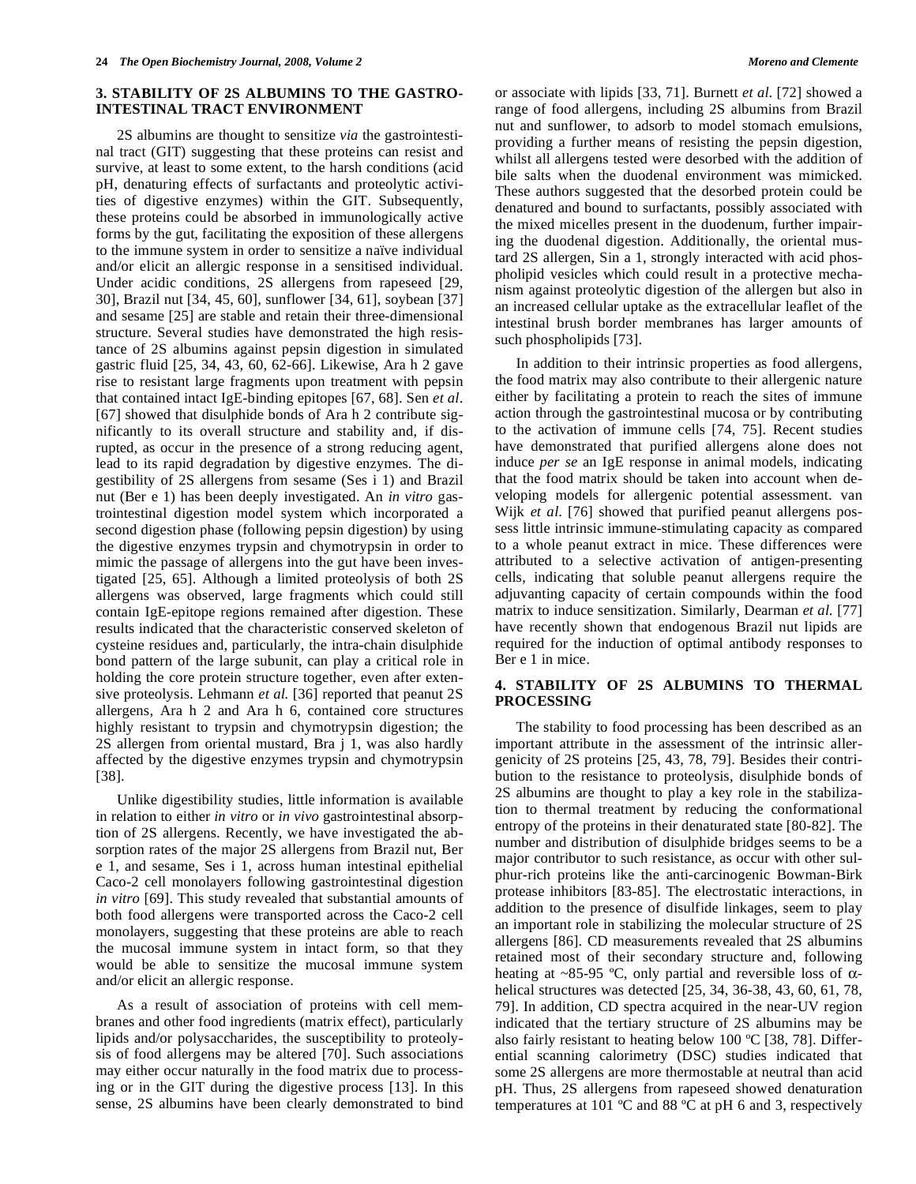## **3. STABILITY OF 2S ALBUMINS TO THE GASTRO-INTESTINAL TRACT ENVIRONMENT**

 2S albumins are thought to sensitize *via* the gastrointestinal tract (GIT) suggesting that these proteins can resist and survive, at least to some extent, to the harsh conditions (acid pH, denaturing effects of surfactants and proteolytic activities of digestive enzymes) within the GIT. Subsequently, these proteins could be absorbed in immunologically active forms by the gut, facilitating the exposition of these allergens to the immune system in order to sensitize a naïve individual and/or elicit an allergic response in a sensitised individual. Under acidic conditions, 2S allergens from rapeseed [29, 30], Brazil nut [34, 45, 60], sunflower [34, 61], soybean [37] and sesame [25] are stable and retain their three-dimensional structure. Several studies have demonstrated the high resistance of 2S albumins against pepsin digestion in simulated gastric fluid [25, 34, 43, 60, 62-66]. Likewise, Ara h 2 gave rise to resistant large fragments upon treatment with pepsin that contained intact IgE-binding epitopes [67, 68]. Sen *et al*. [67] showed that disulphide bonds of Ara h 2 contribute significantly to its overall structure and stability and, if disrupted, as occur in the presence of a strong reducing agent, lead to its rapid degradation by digestive enzymes. The digestibility of 2S allergens from sesame (Ses i 1) and Brazil nut (Ber e 1) has been deeply investigated. An *in vitro* gastrointestinal digestion model system which incorporated a second digestion phase (following pepsin digestion) by using the digestive enzymes trypsin and chymotrypsin in order to mimic the passage of allergens into the gut have been investigated [25, 65]. Although a limited proteolysis of both 2S allergens was observed, large fragments which could still contain IgE-epitope regions remained after digestion. These results indicated that the characteristic conserved skeleton of cysteine residues and, particularly, the intra-chain disulphide bond pattern of the large subunit, can play a critical role in holding the core protein structure together, even after extensive proteolysis. Lehmann *et al.* [36] reported that peanut 2S allergens, Ara h 2 and Ara h 6, contained core structures highly resistant to trypsin and chymotrypsin digestion; the 2S allergen from oriental mustard, Bra j 1, was also hardly affected by the digestive enzymes trypsin and chymotrypsin [38].

 Unlike digestibility studies, little information is available in relation to either *in vitro* or *in vivo* gastrointestinal absorption of 2S allergens. Recently, we have investigated the absorption rates of the major 2S allergens from Brazil nut, Ber e 1, and sesame, Ses i 1, across human intestinal epithelial Caco-2 cell monolayers following gastrointestinal digestion *in vitro* [69]. This study revealed that substantial amounts of both food allergens were transported across the Caco-2 cell monolayers, suggesting that these proteins are able to reach the mucosal immune system in intact form, so that they would be able to sensitize the mucosal immune system and/or elicit an allergic response.

 As a result of association of proteins with cell membranes and other food ingredients (matrix effect), particularly lipids and/or polysaccharides, the susceptibility to proteolysis of food allergens may be altered [70]. Such associations may either occur naturally in the food matrix due to processing or in the GIT during the digestive process [13]. In this sense, 2S albumins have been clearly demonstrated to bind

or associate with lipids [33, 71]. Burnett *et al*. [72] showed a range of food allergens, including 2S albumins from Brazil nut and sunflower, to adsorb to model stomach emulsions, providing a further means of resisting the pepsin digestion, whilst all allergens tested were desorbed with the addition of bile salts when the duodenal environment was mimicked. These authors suggested that the desorbed protein could be denatured and bound to surfactants, possibly associated with the mixed micelles present in the duodenum, further impairing the duodenal digestion. Additionally, the oriental mustard 2S allergen, Sin a 1, strongly interacted with acid phospholipid vesicles which could result in a protective mechanism against proteolytic digestion of the allergen but also in an increased cellular uptake as the extracellular leaflet of the intestinal brush border membranes has larger amounts of such phospholipids [73].

 In addition to their intrinsic properties as food allergens, the food matrix may also contribute to their allergenic nature either by facilitating a protein to reach the sites of immune action through the gastrointestinal mucosa or by contributing to the activation of immune cells [74, 75]. Recent studies have demonstrated that purified allergens alone does not induce *per se* an IgE response in animal models, indicating that the food matrix should be taken into account when developing models for allergenic potential assessment. van Wijk *et al*. [76] showed that purified peanut allergens possess little intrinsic immune-stimulating capacity as compared to a whole peanut extract in mice. These differences were attributed to a selective activation of antigen-presenting cells, indicating that soluble peanut allergens require the adjuvanting capacity of certain compounds within the food matrix to induce sensitization. Similarly, Dearman *et al.* [77] have recently shown that endogenous Brazil nut lipids are required for the induction of optimal antibody responses to Ber e 1 in mice.

### **4. STABILITY OF 2S ALBUMINS TO THERMAL PROCESSING**

 The stability to food processing has been described as an important attribute in the assessment of the intrinsic allergenicity of 2S proteins [25, 43, 78, 79]. Besides their contribution to the resistance to proteolysis, disulphide bonds of 2S albumins are thought to play a key role in the stabilization to thermal treatment by reducing the conformational entropy of the proteins in their denaturated state [80-82]. The number and distribution of disulphide bridges seems to be a major contributor to such resistance, as occur with other sulphur-rich proteins like the anti-carcinogenic Bowman-Birk protease inhibitors [83-85]. The electrostatic interactions, in addition to the presence of disulfide linkages, seem to play an important role in stabilizing the molecular structure of 2S allergens [86]. CD measurements revealed that 2S albumins retained most of their secondary structure and, following heating at ~85-95 °C, only partial and reversible loss of  $\alpha$ helical structures was detected [25, 34, 36-38, 43, 60, 61, 78, 79]. In addition, CD spectra acquired in the near-UV region indicated that the tertiary structure of 2S albumins may be also fairly resistant to heating below 100 ºC [38, 78]. Differential scanning calorimetry (DSC) studies indicated that some 2S allergens are more thermostable at neutral than acid pH. Thus, 2S allergens from rapeseed showed denaturation temperatures at 101 ºC and 88 ºC at pH 6 and 3, respectively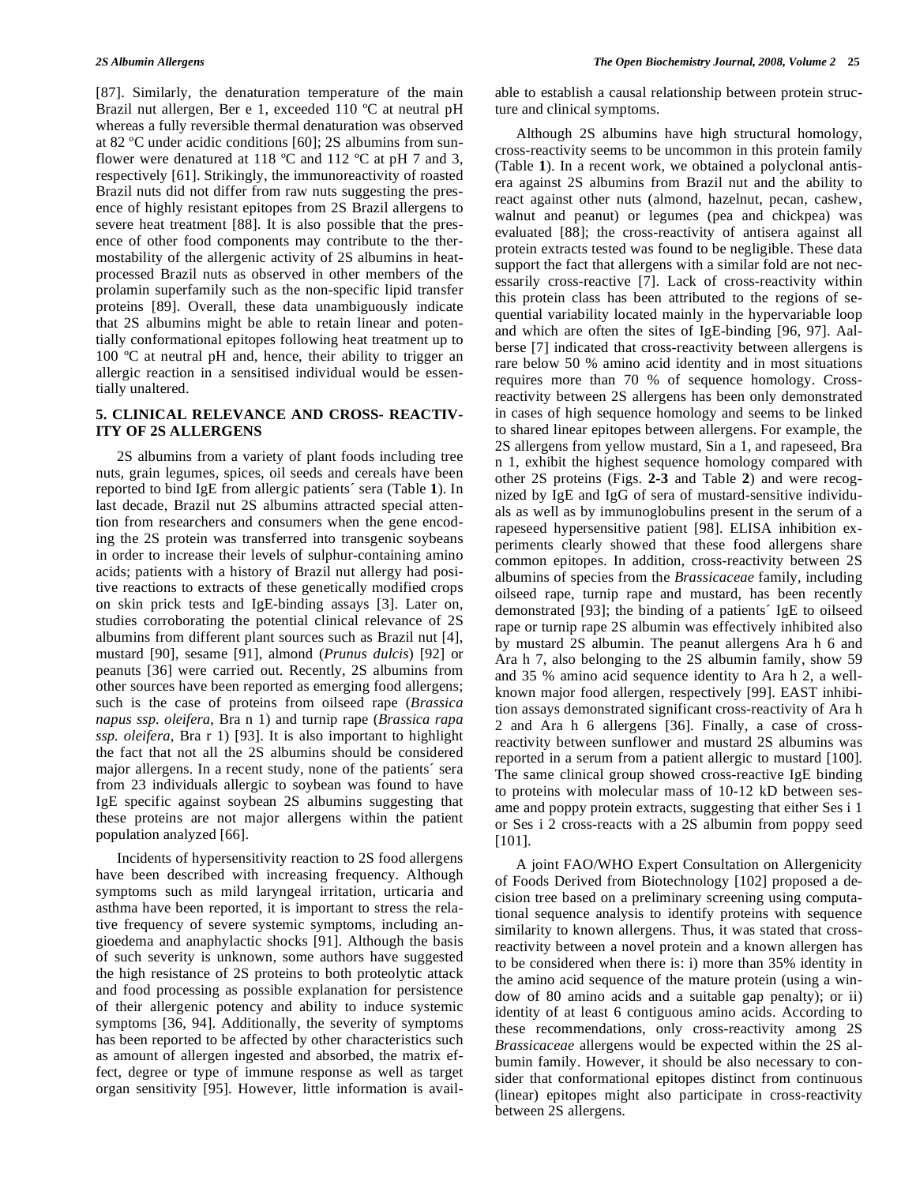[87]. Similarly, the denaturation temperature of the main Brazil nut allergen, Ber e 1, exceeded 110 ºC at neutral pH whereas a fully reversible thermal denaturation was observed at 82 ºC under acidic conditions [60]; 2S albumins from sunflower were denatured at 118  $^{\circ}$ C and 112  $^{\circ}$ C at pH 7 and 3, respectively [61]. Strikingly, the immunoreactivity of roasted Brazil nuts did not differ from raw nuts suggesting the presence of highly resistant epitopes from 2S Brazil allergens to severe heat treatment [88]. It is also possible that the presence of other food components may contribute to the thermostability of the allergenic activity of 2S albumins in heatprocessed Brazil nuts as observed in other members of the prolamin superfamily such as the non-specific lipid transfer proteins [89]. Overall, these data unambiguously indicate that 2S albumins might be able to retain linear and potentially conformational epitopes following heat treatment up to 100 °C at neutral pH and, hence, their ability to trigger an allergic reaction in a sensitised individual would be essentially unaltered.

## **5. CLINICAL RELEVANCE AND CROSS- REACTIV-ITY OF 2S ALLERGENS**

 2S albumins from a variety of plant foods including tree nuts, grain legumes, spices, oil seeds and cereals have been reported to bind IgE from allergic patients´ sera (Table **1**). In last decade, Brazil nut 2S albumins attracted special attention from researchers and consumers when the gene encoding the 2S protein was transferred into transgenic soybeans in order to increase their levels of sulphur-containing amino acids; patients with a history of Brazil nut allergy had positive reactions to extracts of these genetically modified crops on skin prick tests and IgE-binding assays [3]. Later on, studies corroborating the potential clinical relevance of 2S albumins from different plant sources such as Brazil nut [4], mustard [90], sesame [91], almond (*Prunus dulcis*) [92] or peanuts [36] were carried out. Recently, 2S albumins from other sources have been reported as emerging food allergens; such is the case of proteins from oilseed rape (*Brassica napus ssp. oleifera*, Bra n 1) and turnip rape (*Brassica rapa ssp. oleifera*, Bra r 1) [93]. It is also important to highlight the fact that not all the 2S albumins should be considered major allergens. In a recent study, none of the patients´ sera from 23 individuals allergic to soybean was found to have IgE specific against soybean 2S albumins suggesting that these proteins are not major allergens within the patient population analyzed [66].

 Incidents of hypersensitivity reaction to 2S food allergens have been described with increasing frequency. Although symptoms such as mild laryngeal irritation, urticaria and asthma have been reported, it is important to stress the relative frequency of severe systemic symptoms, including angioedema and anaphylactic shocks [91]. Although the basis of such severity is unknown, some authors have suggested the high resistance of 2S proteins to both proteolytic attack and food processing as possible explanation for persistence of their allergenic potency and ability to induce systemic symptoms [36, 94]. Additionally, the severity of symptoms has been reported to be affected by other characteristics such as amount of allergen ingested and absorbed, the matrix effect, degree or type of immune response as well as target organ sensitivity [95]. However, little information is available to establish a causal relationship between protein structure and clinical symptoms.

 Although 2S albumins have high structural homology, cross-reactivity seems to be uncommon in this protein family (Table **1**). In a recent work, we obtained a polyclonal antisera against 2S albumins from Brazil nut and the ability to react against other nuts (almond, hazelnut, pecan, cashew, walnut and peanut) or legumes (pea and chickpea) was evaluated [88]; the cross-reactivity of antisera against all protein extracts tested was found to be negligible. These data support the fact that allergens with a similar fold are not necessarily cross-reactive [7]. Lack of cross-reactivity within this protein class has been attributed to the regions of sequential variability located mainly in the hypervariable loop and which are often the sites of IgE-binding [96, 97]. Aalberse [7] indicated that cross-reactivity between allergens is rare below 50 % amino acid identity and in most situations requires more than 70 % of sequence homology. Crossreactivity between 2S allergens has been only demonstrated in cases of high sequence homology and seems to be linked to shared linear epitopes between allergens. For example, the 2S allergens from yellow mustard, Sin a 1, and rapeseed, Bra n 1, exhibit the highest sequence homology compared with other 2S proteins (Figs. **2-3** and Table **2**) and were recognized by IgE and IgG of sera of mustard-sensitive individuals as well as by immunoglobulins present in the serum of a rapeseed hypersensitive patient [98]. ELISA inhibition experiments clearly showed that these food allergens share common epitopes. In addition, cross-reactivity between 2S albumins of species from the *Brassicaceae* family, including oilseed rape, turnip rape and mustard, has been recently demonstrated [93]; the binding of a patients´ IgE to oilseed rape or turnip rape 2S albumin was effectively inhibited also by mustard 2S albumin. The peanut allergens Ara h 6 and Ara h 7, also belonging to the 2S albumin family, show 59 and 35 % amino acid sequence identity to Ara h 2, a wellknown major food allergen, respectively [99]. EAST inhibition assays demonstrated significant cross-reactivity of Ara h 2 and Ara h 6 allergens [36]. Finally, a case of crossreactivity between sunflower and mustard 2S albumins was reported in a serum from a patient allergic to mustard [100]. The same clinical group showed cross-reactive IgE binding to proteins with molecular mass of 10-12 kD between sesame and poppy protein extracts, suggesting that either Ses i 1 or Ses i 2 cross-reacts with a 2S albumin from poppy seed [101].

 A joint FAO/WHO Expert Consultation on Allergenicity of Foods Derived from Biotechnology [102] proposed a decision tree based on a preliminary screening using computational sequence analysis to identify proteins with sequence similarity to known allergens. Thus, it was stated that crossreactivity between a novel protein and a known allergen has to be considered when there is: i) more than 35% identity in the amino acid sequence of the mature protein (using a window of 80 amino acids and a suitable gap penalty); or ii) identity of at least 6 contiguous amino acids. According to these recommendations, only cross-reactivity among 2S *Brassicaceae* allergens would be expected within the 2S albumin family. However, it should be also necessary to consider that conformational epitopes distinct from continuous (linear) epitopes might also participate in cross-reactivity between 2S allergens.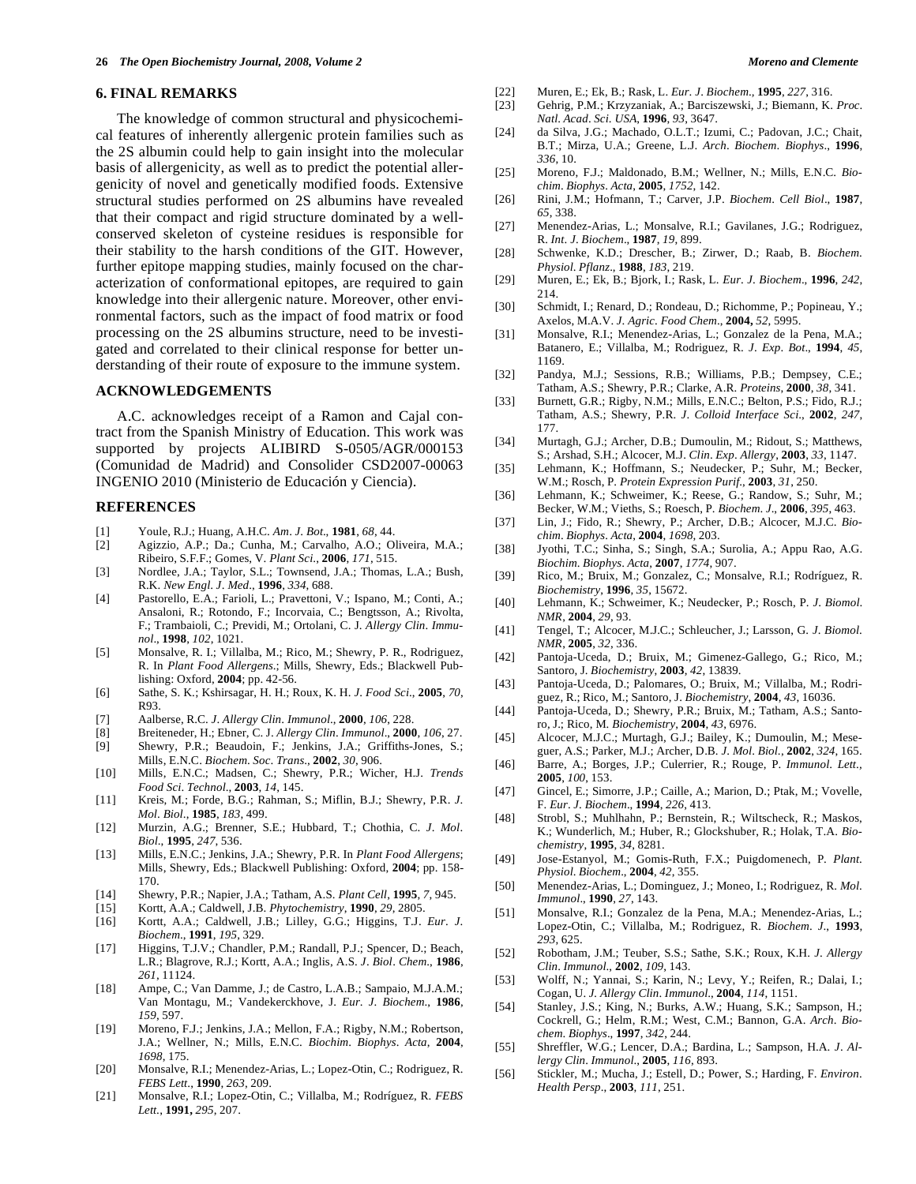#### **6. FINAL REMARKS**

 The knowledge of common structural and physicochemical features of inherently allergenic protein families such as the 2S albumin could help to gain insight into the molecular basis of allergenicity, as well as to predict the potential allergenicity of novel and genetically modified foods. Extensive structural studies performed on 2S albumins have revealed that their compact and rigid structure dominated by a wellconserved skeleton of cysteine residues is responsible for their stability to the harsh conditions of the GIT. However, further epitope mapping studies, mainly focused on the characterization of conformational epitopes, are required to gain knowledge into their allergenic nature. Moreover, other environmental factors, such as the impact of food matrix or food processing on the 2S albumins structure, need to be investigated and correlated to their clinical response for better understanding of their route of exposure to the immune system.

#### **ACKNOWLEDGEMENTS**

 A.C. acknowledges receipt of a Ramon and Cajal contract from the Spanish Ministry of Education. This work was supported by projects ALIBIRD S-0505/AGR/000153 (Comunidad de Madrid) and Consolider CSD2007-00063 INGENIO 2010 (Ministerio de Educación y Ciencia).

#### **REFERENCES**

- [1] Youle, R.J.; Huang, A.H.C. *Am*. *J*. *Bot*., **1981**, *68*, 44.
- [2] Agizzio, A.P.; Da.; Cunha, M.; Carvalho, A.O.; Oliveira, M.A.; Ribeiro, S.F.F.; Gomes, V. *Plant Sci*., **2006**, *171*, 515.
- [3] Nordlee, J.A.; Taylor, S.L.; Townsend, J.A.; Thomas, L.A.; Bush, R.K. *New Engl*. *J*. *Med*., **1996**, *334*, 688.
- [4] Pastorello, E.A.; Farioli, L.; Pravettoni, V.; Ispano, M.; Conti, A.; Ansaloni, R.; Rotondo, F.; Incorvaia, C.; Bengtsson, A.; Rivolta, F.; Trambaioli, C.; Previdi, M.; Ortolani, C. J. *Allergy Clin*. *Immunol*., **1998**, *102*, 1021.
- [5] Monsalve, R. I.; Villalba, M.; Rico, M.; Shewry, P. R., Rodriguez, R. In *Plant Food Allergens*.; Mills, Shewry, Eds.; Blackwell Publishing: Oxford, **2004**; pp. 42-56.
- [6] Sathe, S. K.; Kshirsagar, H. H.; Roux, K. H. *J*. *Food Sci*., **2005**, *70*, R93.
- [7] Aalberse, R.C. *J*. *Allergy Clin*. *Immunol*., **2000**, *106*, 228.
- [8] Breiteneder, H.; Ebner, C. J. *Allergy Clin*. *Immunol*., **2000**, *106*, 27. Shewry, P.R.; Beaudoin, F.; Jenkins, J.A.; Griffiths-Jones, S.;
- Mills, E.N.C. *Biochem*. *Soc*. *Trans*., **2002**, *30*, 906. [10] Mills, E.N.C.; Madsen, C.; Shewry, P.R.; Wicher, H.J. *Trends*
- *Food Sci*. *Technol*., **2003**, *14*, 145. [11] Kreis, M.; Forde, B.G.; Rahman, S.; Miflin, B.J.; Shewry, P.R. *J*.
- *Mol*. *Biol*., **1985**, *183*, 499. [12] Murzin, A.G.; Brenner, S.E.; Hubbard, T.; Chothia, C. *J*. *Mol*.
- *Biol*., **1995**, *247*, 536.
- [13] Mills, E.N.C.; Jenkins, J.A.; Shewry, P.R. In *Plant Food Allergens*; Mills, Shewry, Eds.; Blackwell Publishing: Oxford, **2004**; pp. 158- 170.
- [14] Shewry, P.R.; Napier, J.A.; Tatham, A.S. *Plant Cell*, **1995**, *7*, 945.
- [15] Kortt, A.A.; Caldwell, J.B. *Phytochemistry*, **1990**, *29*, 2805.
- [16] Kortt, A.A.; Caldwell, J.B.; Lilley, G.G.; Higgins, T.J. *Eur*. *J*. *Biochem*., **1991**, *195*, 329.
- [17] Higgins, T.J.V.; Chandler, P.M.; Randall, P.J.; Spencer, D.; Beach, L.R.; Blagrove, R.J.; Kortt, A.A.; Inglis, A.S. *J*. *Biol*. *Chem*., **1986**, *261*, 11124.
- [18] Ampe, C.; Van Damme, J.; de Castro, L.A.B.; Sampaio, M.J.A.M.; Van Montagu, M.; Vandekerckhove, J. *Eur*. *J*. *Biochem*., **1986**, *159*, 597.
- [19] Moreno, F.J.; Jenkins, J.A.; Mellon, F.A.; Rigby, N.M.; Robertson, J.A.; Wellner, N.; Mills, E.N.C. *Biochim*. *Biophys*. *Acta*, **2004**, *1698*, 175.
- [20] Monsalve, R.I.; Menendez-Arias, L.; Lopez-Otin, C.; Rodriguez, R. *FEBS Lett*., **1990**, *263*, 209.
- [21] Monsalve, R.I.; Lopez-Otin, C.; Villalba, M.; Rodríguez, R. *FEBS Lett*., **1991,** *295*, 207.
- [22] Muren, E.; Ek, B.; Rask, L. *Eur*. *J*. *Biochem*.*,* **1995**, *227*, 316.
- [23] Gehrig, P.M.; Krzyzaniak, A.; Barciszewski, J.; Biemann, K. *Proc*. *Natl*. *Acad*. *Sci*. *USA*, **1996**, *93*, 3647.
- [24] da Silva, J.G.; Machado, O.L.T.; Izumi, C.; Padovan, J.C.; Chait, B.T.; Mirza, U.A.; Greene, L.J. *Arch*. *Biochem*. *Biophys*., **1996**, *336*, 10.
- [25] Moreno, F.J.; Maldonado, B.M.; Wellner, N.; Mills, E.N.C. *Biochim*. *Biophys*. *Acta*, **2005**, *1752*, 142.
- [26] Rini, J.M.; Hofmann, T.; Carver, J.P. *Biochem*. *Cell Biol*., **1987**, *65*, 338.
- [27] Menendez-Arias, L.; Monsalve, R.I.; Gavilanes, J.G.; Rodriguez, R. *Int*. *J*. *Biochem*., **1987**, *19*, 899.
- [28] Schwenke, K.D.; Drescher, B.; Zirwer, D.; Raab, B. *Biochem*. *Physiol*. *Pflanz*., **1988**, *183*, 219.
- [29] Muren, E.; Ek, B.; Bjork, I.; Rask, L. *Eur*. *J*. *Biochem*., **1996**, *242*, 214.
- [30] Schmidt, I.; Renard, D.; Rondeau, D.; Richomme, P.; Popineau, Y.; Axelos, M.A.V. *J*. *Agric*. *Food Chem*., **2004,** *52*, 5995.
- [31] Monsalve, R.I.; Menendez-Arias, L.; Gonzalez de la Pena, M.A.; Batanero, E.; Villalba, M.; Rodriguez, R. *J*. *Exp*. *Bot*., **1994**, *45*, 1169.
- [32] Pandya, M.J.; Sessions, R.B.; Williams, P.B.; Dempsey, C.E.; Tatham, A.S.; Shewry, P.R.; Clarke, A.R. *Proteins*, **2000**, *38*, 341.
- [33] Burnett, G.R.; Rigby, N.M.; Mills, E.N.C.; Belton, P.S.; Fido, R.J.; Tatham, A.S.; Shewry, P.R. *J*. *Colloid Interface Sci*., **2002**, *247*, 177.
- [34] Murtagh, G.J.; Archer, D.B.; Dumoulin, M.; Ridout, S.; Matthews, S.; Arshad, S.H.; Alcocer, M.J. *Clin*. *Exp*. *Allergy*, **2003**, *33*, 1147.
- [35] Lehmann, K.; Hoffmann, S.; Neudecker, P.; Suhr, M.; Becker, W.M.; Rosch, P. *Protein Expression Purif*., **2003**, *31*, 250.
- [36] Lehmann, K.; Schweimer, K.; Reese, G.; Randow, S.; Suhr, M.; Becker, W.M.; Vieths, S.; Roesch, P. *Biochem*. *J*., **2006**, *395*, 463.
- [37] Lin, J.; Fido, R.; Shewry, P.; Archer, D.B.; Alcocer, M.J.C. *Biochim*. *Biophys*. *Acta*, **2004**, *1698*, 203.
- [38] Jyothi, T.C.; Sinha, S.; Singh, S.A.; Surolia, A.; Appu Rao, A.G. *Biochim*. *Biophys*. *Acta*, **2007**, *1774*, 907.
- [39] Rico, M.; Bruix, M.; Gonzalez, C.; Monsalve, R.I.; Rodríguez, R. *Biochemistry*, **1996**, *35*, 15672.
- [40] Lehmann, K.; Schweimer, K.; Neudecker, P.; Rosch, P. *J*. *Biomol*. *NMR*, **2004**, *29*, 93.
- [41] Tengel, T.; Alcocer, M.J.C.; Schleucher, J.; Larsson, G. *J*. *Biomol*. *NMR*, **2005**, *32*, 336.
- [42] Pantoja-Uceda, D.; Bruix, M.; Gimenez-Gallego, G.; Rico, M.; Santoro, J. *Biochemistry*, **2003**, *42*, 13839.
- [43] Pantoja-Uceda, D.; Palomares, O.; Bruix, M.; Villalba, M.; Rodriguez, R.; Rico, M.; Santoro, J. *Biochemistry*, **2004**, *43*, 16036.
- [44] Pantoja-Uceda, D.; Shewry, P.R.; Bruix, M.; Tatham, A.S.; Santoro, J.; Rico, M. *Biochemistry*, **2004**, *43*, 6976.
- [45] Alcocer, M.J.C.; Murtagh, G.J.; Bailey, K.; Dumoulin, M.; Meseguer, A.S.; Parker, M.J.; Archer, D.B. *J*. *Mol*. *Biol*., **2002**, *324*, 165.
- [46] Barre, A.; Borges, J.P.; Culerrier, R.; Rouge, P. *Immunol*. *Lett*.*,* **2005**, *100*, 153.
- [47] Gincel, E.; Simorre, J.P.; Caille, A.; Marion, D.; Ptak, M.; Vovelle, F. *Eur*. *J*. *Biochem*., **1994**, *226*, 413.
- [48] Strobl, S.; Muhlhahn, P.; Bernstein, R.; Wiltscheck, R.; Maskos, K.; Wunderlich, M.; Huber, R.; Glockshuber, R.; Holak, T.A. *Biochemistry*, **1995**, *34*, 8281.
- [49] Jose-Estanyol, M.; Gomis-Ruth, F.X.; Puigdomenech, P. *Plant*. *Physiol*. *Biochem*., **2004**, *42*, 355.
- [50] Menendez-Arias, L.; Dominguez, J.; Moneo, I.; Rodriguez, R. *Mol*. *Immunol*., **1990**, *27*, 143.
- [51] Monsalve, R.I.; Gonzalez de la Pena, M.A.; Menendez-Arias, L.; Lopez-Otin, C.; Villalba, M.; Rodriguez, R. *Biochem*. *J*., **1993**, *293*, 625.
- [52] Robotham, J.M.; Teuber, S.S.; Sathe, S.K.; Roux, K.H. *J*. *Allergy Clin*. *Immunol*., **2002**, *109*, 143.
- [53] Wolff, N.; Yannai, S.; Karin, N.; Levy, Y.; Reifen, R.; Dalai, I.; Cogan, U. *J. Allergy Clin*. *Immunol*., **2004**, *114*, 1151.
- [54] Stanley, J.S.; King, N.; Burks, A.W.; Huang, S.K.; Sampson, H.; Cockrell, G.; Helm, R.M.; West, C.M.; Bannon, G.A. *Arch*. *Biochem*. *Biophys*., **1997**, *342*, 244.
- [55] Shreffler, W.G.; Lencer, D.A.; Bardina, L.; Sampson, H.A. *J*. *Allergy Clin*. *Immunol*., **2005**, *116*, 893.
- [56] Stickler, M.; Mucha, J.; Estell, D.; Power, S.; Harding, F. *Environ*. *Health Persp*., **2003**, *111*, 251.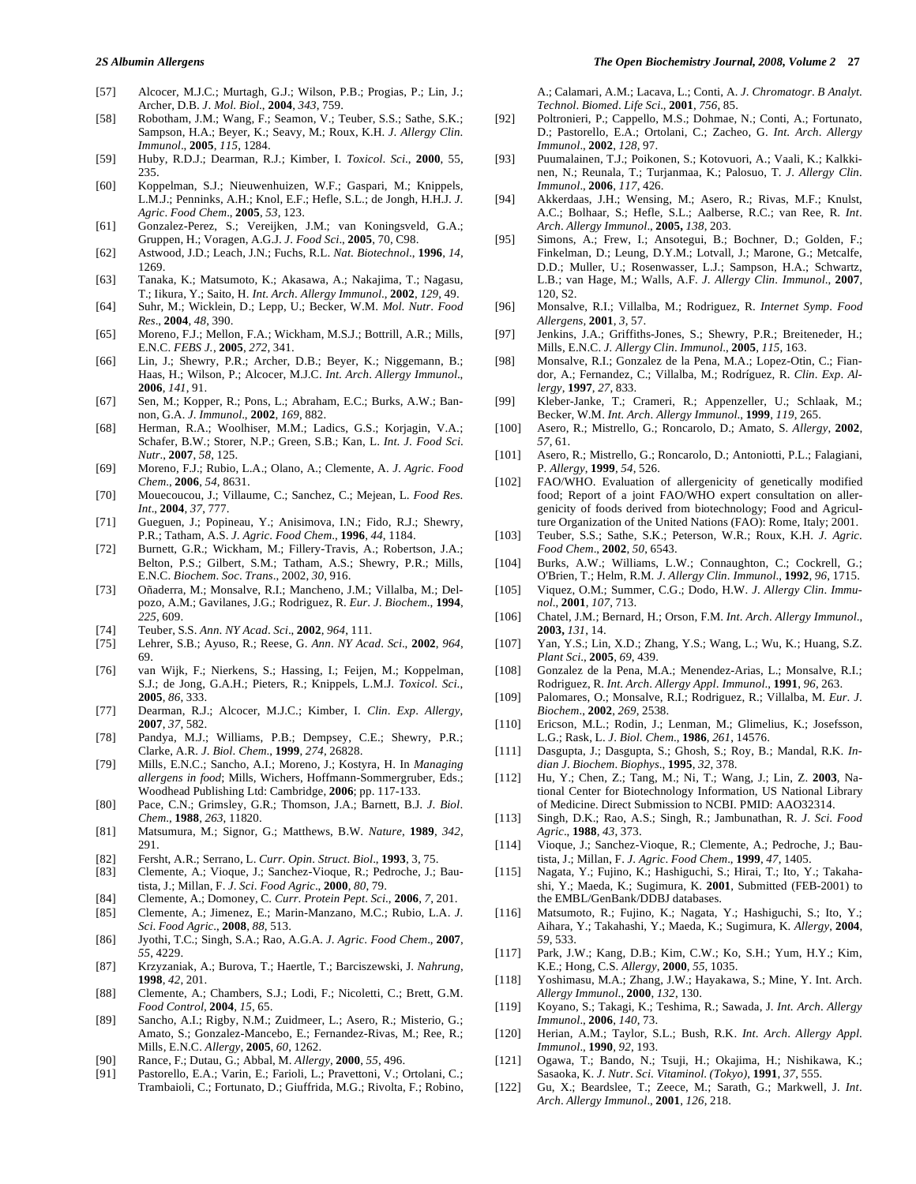- [57] Alcocer, M.J.C.; Murtagh, G.J.; Wilson, P.B.; Progias, P.; Lin, J.; Archer, D.B. *J*. *Mol*. *Biol*., **2004**, *343*, 759.
- [58] Robotham, J.M.; Wang, F.; Seamon, V.; Teuber, S.S.; Sathe, S.K.; Sampson, H.A.; Beyer, K.; Seavy, M.; Roux, K.H. *J*. *Allergy Clin*. *Immunol*., **2005**, *115*, 1284.
- [59] Huby, R.D.J.; Dearman, R.J.; Kimber, I. *Toxicol*. *Sci*., **2000**, 55, 235.
- [60] Koppelman, S.J.; Nieuwenhuizen, W.F.; Gaspari, M.; Knippels, L.M.J.; Penninks, A.H.; Knol, E.F.; Hefle, S.L.; de Jongh, H.H.J. *J*. *Agric*. *Food Chem*., **2005**, *53*, 123.
- [61] Gonzalez-Perez, S.; Vereijken, J.M.; van Koningsveld, G.A.; Gruppen, H.; Voragen, A.G.J. *J*. *Food Sci*., **2005**, 70, C98.
- [62] Astwood, J.D.; Leach, J.N.; Fuchs, R.L. *Nat*. *Biotechnol*., **1996**, *14*, 1269.
- [63] Tanaka, K.; Matsumoto, K.; Akasawa, A.; Nakajima, T.; Nagasu, T.; Iikura, Y.; Saito, H. *Int*. *Arch*. *Allergy Immunol*., **2002**, *129*, 49.
- [64] Suhr, M.; Wicklein, D.; Lepp, U.; Becker, W.M. *Mol*. *Nutr*. *Food Res*., **2004**, *48*, 390.
- [65] Moreno, F.J.; Mellon, F.A.; Wickham, M.S.J.; Bottrill, A.R.; Mills, E.N.C. *FEBS J.*, **2005**, *272*, 341.
- [66] Lin, J.; Shewry, P.R.; Archer, D.B.; Beyer, K.; Niggemann, B.; Haas, H.; Wilson, P.; Alcocer, M.J.C. *Int*. *Arch*. *Allergy Immunol*., **2006**, *141*, 91.
- [67] Sen, M.; Kopper, R.; Pons, L.; Abraham, E.C.; Burks, A.W.; Bannon, G.A. *J*. *Immunol*., **2002**, *169*, 882.
- [68] Herman, R.A.; Woolhiser, M.M.; Ladics, G.S.; Korjagin, V.A.; Schafer, B.W.; Storer, N.P.; Green, S.B.; Kan, L. *Int*. *J*. *Food Sci*. *Nutr*., **2007**, *58*, 125.
- [69] Moreno, F.J.; Rubio, L.A.; Olano, A.; Clemente, A. *J*. *Agric*. *Food Chem*., **2006**, *54*, 8631.
- [70] Mouecoucou, J.; Villaume, C.; Sanchez, C.; Mejean, L. *Food Res*. *Int*., **2004**, *37*, 777.
- [71] Gueguen, J.; Popineau, Y.; Anisimova, I.N.; Fido, R.J.; Shewry, P.R.; Tatham, A.S. *J*. *Agric*. *Food Chem*., **1996**, *44*, 1184.
- [72] Burnett, G.R.; Wickham, M.; Fillery-Travis, A.; Robertson, J.A.; Belton, P.S.; Gilbert, S.M.; Tatham, A.S.; Shewry, P.R.; Mills, E.N.C. *Biochem*. *Soc*. *Trans*., 2002, *30*, 916.
- [73] Oñaderra, M.; Monsalve, R.I.; Mancheno, J.M.; Villalba, M.; Delpozo, A.M.; Gavilanes, J.G.; Rodriguez, R. *Eur*. *J*. *Biochem*., **1994**, *225*, 609.
- [74] Teuber, S.S. *Ann*. *NY Acad*. *Sci*., **2002**, *964*, 111.
- [75] Lehrer, S.B.; Ayuso, R.; Reese, G. *Ann*. *NY Acad*. *Sci*., **2002**, *964*, 69.
- [76] van Wijk, F.; Nierkens, S.; Hassing, I.; Feijen, M.; Koppelman, S.J.; de Jong, G.A.H.; Pieters, R.; Knippels, L.M.J. *Toxicol*. *Sci*., **2005**, *86*, 333.
- [77] Dearman, R.J.; Alcocer, M.J.C.; Kimber, I. *Clin*. *Exp*. *Allergy*, **2007**, *37*, 582.
- [78] Pandya, M.J.; Williams, P.B.; Dempsey, C.E.; Shewry, P.R.; Clarke, A.R. *J*. *Biol*. *Chem*., **1999**, *274*, 26828.
- [79] Mills, E.N.C.; Sancho, A.I.; Moreno, J.; Kostyra, H. In *Managing allergens in food*; Mills, Wichers, Hoffmann-Sommergruber, Eds.; Woodhead Publishing Ltd: Cambridge, **2006**; pp. 117-133.
- [80] Pace, C.N.; Grimsley, G.R.; Thomson, J.A.; Barnett, B.J. *J*. *Biol*. *Chem*., **1988**, *263*, 11820.
- [81] Matsumura, M.; Signor, G.; Matthews, B.W. *Nature*, **1989**, *342*, 291.
- [82] Fersht, A.R.; Serrano, L. *Curr*. *Opin*. *Struct*. *Biol*., **1993**, 3, 75.
- [83] Clemente, A.; Vioque, J.; Sanchez-Vioque, R.; Pedroche, J.; Bautista, J.; Millan, F. *J*. *Sci*. *Food Agric*., **2000**, *80*, 79.
- [84] Clemente, A.; Domoney, C. *Curr*. *Protein Pept*. *Sci*., **2006**, *7*, 201.
- [85] Clemente, A.; Jimenez, E.; Marin-Manzano, M.C.; Rubio, L.A. *J*. *Sci*. *Food Agric*., **2008**, *88*, 513.
- [86] Jyothi, T.C.; Singh, S.A.; Rao, A.G.A. *J*. *Agric*. *Food Chem*., **2007**, *55*, 4229.
- [87] Krzyzaniak, A.; Burova, T.; Haertle, T.; Barciszewski, J. *Nahrung*, **1998**, *42*, 201.
- [88] Clemente, A.; Chambers, S.J.; Lodi, F.; Nicoletti, C.; Brett, G.M. *Food Control,* **2004**, *15*, 65.
- [89] Sancho, A.I.; Rigby, N.M.; Zuidmeer, L.; Asero, R.; Misterio, G.; Amato, S.; Gonzalez-Mancebo, E.; Fernandez-Rivas, M.; Ree, R.; Mills, E.N.C. *Allergy*, **2005**, *60*, 1262.
- [90] Rance, F.; Dutau, G.; Abbal, M. *Allergy*, **2000**, *55*, 496.
- [91] Pastorello, E.A.; Varin, E.; Farioli, L.; Pravettoni, V.; Ortolani, C.; Trambaioli, C.; Fortunato, D.; Giuffrida, M.G.; Rivolta, F.; Robino,

#### *2S Albumin Allergens The Open Biochemistry Journal, 2008, Volume 2* **27**

A.; Calamari, A.M.; Lacava, L.; Conti, A. *J*. *Chromatogr*. *B Analyt*. *Technol*. *Biomed*. *Life Sci*., **2001**, *756*, 85.

- [92] Poltronieri, P.; Cappello, M.S.; Dohmae, N.; Conti, A.; Fortunato, D.; Pastorello, E.A.; Ortolani, C.; Zacheo, G. *Int*. *Arch*. *Allergy Immunol*., **2002**, *128*, 97.
- [93] Puumalainen, T.J.; Poikonen, S.; Kotovuori, A.; Vaali, K.; Kalkkinen, N.; Reunala, T.; Turjanmaa, K.; Palosuo, T. *J*. *Allergy Clin*. *Immunol*., **2006**, *117*, 426.
- [94] Akkerdaas, J.H.; Wensing, M.; Asero, R.; Rivas, M.F.; Knulst, A.C.; Bolhaar, S.; Hefle, S.L.; Aalberse, R.C.; van Ree, R. *Int*. *Arch*. *Allergy Immunol*., **2005,** *138*, 203.
- [95] Simons, A.; Frew, I.; Ansotegui, B.; Bochner, D.; Golden, F.; Finkelman, D.; Leung, D.Y.M.; Lotvall, J.; Marone, G.; Metcalfe, D.D.; Muller, U.; Rosenwasser, L.J.; Sampson, H.A.; Schwartz, L.B.; van Hage, M.; Walls, A.F. *J*. *Allergy Clin*. *Immunol*., **2007**, 120, S2.
- [96] Monsalve, R.I.; Villalba, M.; Rodriguez, R. *Internet Symp*. *Food Allergens,* **2001**, *3*, 57.
- [97] Jenkins, J.A.; Griffiths-Jones, S.; Shewry, P.R.; Breiteneder, H.; Mills, E.N.C. *J. Allergy Clin*. *Immunol*., **2005**, *115*, 163.
- [98] Monsalve, R.I.; Gonzalez de la Pena, M.A.; Lopez-Otin, C.; Fiandor, A.; Fernandez, C.; Villalba, M.; Rodríguez, R. *Clin*. *Exp*. *Allergy*, **1997**, *27*, 833.
- [99] Kleber-Janke, T.; Crameri, R.; Appenzeller, U.; Schlaak, M.; Becker, W.M. *Int*. *Arch*. *Allergy Immunol*., **1999**, *119*, 265.
- [100] Asero, R.; Mistrello, G.; Roncarolo, D.; Amato, S. *Allergy*, **2002**, *57*, 61.
- [101] Asero, R.; Mistrello, G.; Roncarolo, D.; Antoniotti, P.L.; Falagiani, P. *Allergy*, **1999**, *54*, 526.
- [102] FAO/WHO. Evaluation of allergenicity of genetically modified food; Report of a joint FAO/WHO expert consultation on allergenicity of foods derived from biotechnology; Food and Agriculture Organization of the United Nations (FAO): Rome, Italy; 2001.
- [103] Teuber, S.S.; Sathe, S.K.; Peterson, W.R.; Roux, K.H. *J*. *Agric*. *Food Chem*., **2002**, *50*, 6543.
- [104] Burks, A.W.; Williams, L.W.; Connaughton, C.; Cockrell, G.; O'Brien, T.; Helm, R.M. *J*. *Allergy Clin*. *Immunol*., **1992**, *96*, 1715.
- [105] Viquez, O.M.; Summer, C.G.; Dodo, H.W. *J*. *Allergy Clin*. *Immunol*., **2001**, *107*, 713.
- [106] Chatel, J.M.; Bernard, H.; Orson, F.M. *Int*. *Arch*. *Allergy Immunol*., **2003,** *131*, 14.
- [107] Yan, Y.S.; Lin, X.D.; Zhang, Y.S.; Wang, L.; Wu, K.; Huang, S.Z. *Plant Sci*., **2005**, *69*, 439.
- [108] Gonzalez de la Pena, M.A.; Menendez-Arias, L.; Monsalve, R.I.; Rodriguez, R. *Int*. *Arch*. *Allergy Appl*. *Immunol*., **1991**, *96*, 263.
- [109] Palomares, O.; Monsalve, R.I.; Rodriguez, R.; Villalba, M. *Eur*. *J*. *Biochem*., **2002**, *269*, 2538.
- [110] Ericson, M.L.; Rodin, J.; Lenman, M.; Glimelius, K.; Josefsson, L.G.; Rask, L. *J*. *Biol*. *Chem*., **1986**, *261*, 14576.
- [111] Dasgupta, J.; Dasgupta, S.; Ghosh, S.; Roy, B.; Mandal, R.K. *Indian J*. *Biochem*. *Biophys*., **1995**, *32*, 378.
- [112] Hu, Y.; Chen, Z.; Tang, M.; Ni, T.; Wang, J.; Lin, Z. **2003**, National Center for Biotechnology Information, US National Library of Medicine. Direct Submission to NCBI. PMID: AAO32314.
- [113] Singh, D.K.; Rao, A.S.; Singh, R.; Jambunathan, R. *J*. *Sci*. *Food Agric*., **1988**, *43*, 373.
- [114] Vioque, J.; Sanchez-Vioque, R.; Clemente, A.; Pedroche, J.; Bautista, J.; Millan, F. *J*. *Agric*. *Food Chem*., **1999**, *47*, 1405.
- [115] Nagata, Y.; Fujino, K.; Hashiguchi, S.; Hirai, T.; Ito, Y.; Takahashi, Y.; Maeda, K.; Sugimura, K. **2001**, Submitted (FEB-2001) to the EMBL/GenBank/DDBJ databases.
- [116] Matsumoto, R.; Fujino, K.; Nagata, Y.; Hashiguchi, S.; Ito, Y.; Aihara, Y.; Takahashi, Y.; Maeda, K.; Sugimura, K. *Allergy*, **2004**, *59*, 533.
- [117] Park, J.W.; Kang, D.B.; Kim, C.W.; Ko, S.H.; Yum, H.Y.; Kim, K.E.; Hong, C.S. *Allergy*, **2000**, *55*, 1035.
- [118] Yoshimasu, M.A.; Zhang, J.W.; Hayakawa, S.; Mine, Y. Int. Arch. *Allergy Immunol*., **2000**, *132*, 130.
- [119] Koyano, S.; Takagi, K.; Teshima, R.; Sawada, J. *Int*. *Arch*. *Allergy Immunol*., **2006**, *140*, 73.
- [120] Herian, A.M.; Taylor, S.L.; Bush, R.K. *Int*. *Arch*. *Allergy Appl*. *Immunol*., **1990**, *92*, 193.
- [121] Ogawa, T.; Bando, N.; Tsuji, H.; Okajima, H.; Nishikawa, K.; Sasaoka, K. *J*. *Nutr*. *Sci*. *Vitaminol*. *(Tokyo)*, **1991**, *37*, 555.
- [122] Gu, X.; Beardslee, T.; Zeece, M.; Sarath, G.; Markwell, J. *Int*. *Arch*. *Allergy Immunol*., **2001**, *126*, 218.